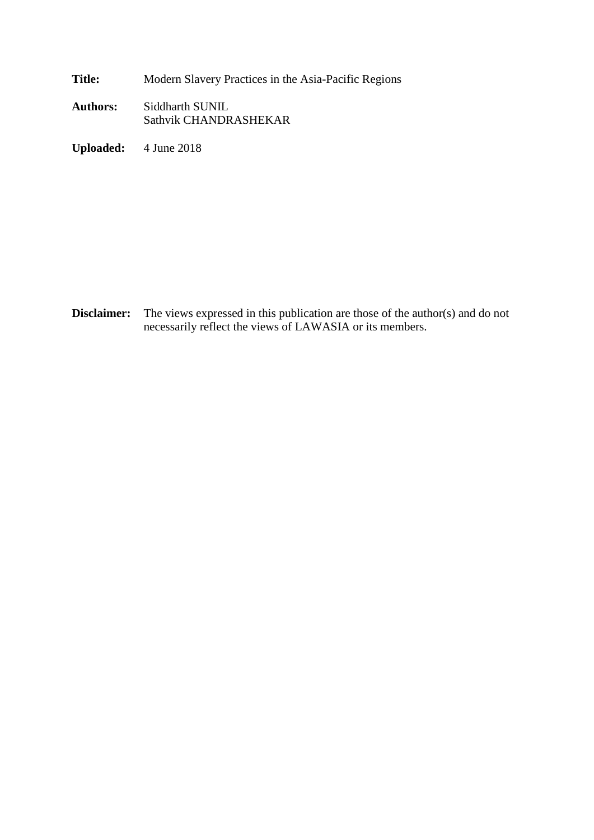**Title:** Modern Slavery Practices in the Asia-Pacific Regions

**Authors:** Siddharth SUNIL Sathvik CHANDRASHEKAR

**Uploaded:** 4 June 2018

**Disclaimer:** The views expressed in this publication are those of the author(s) and do not necessarily reflect the views of LAWASIA or its members.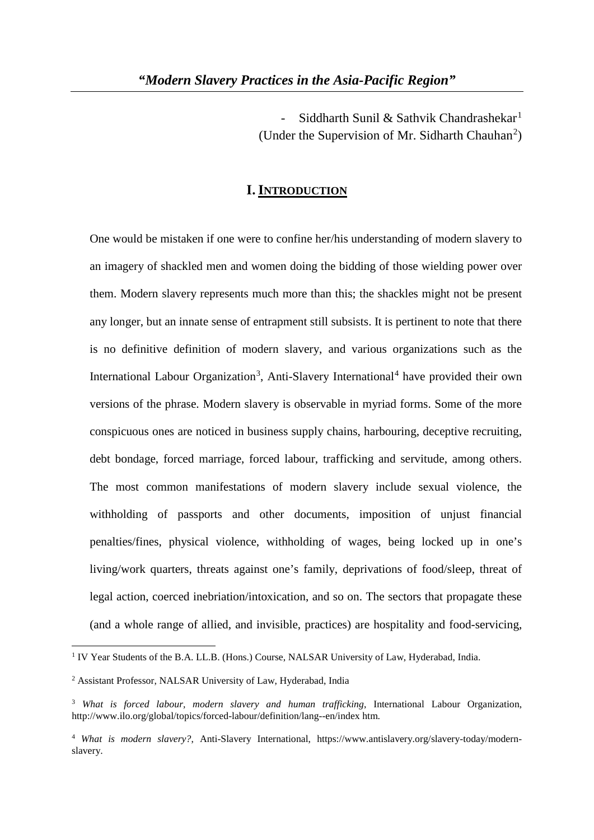Siddharth Sunil & Sathvik Chandrashekar<sup>1</sup> (Under the Supervision of Mr. Sidharth Chauhan<sup>2</sup>)

# **I. INTRODUCTION**

One would be mistaken if one were to confine her/his understanding of modern slavery to an imagery of shackled men and women doing the bidding of those wielding power over them. Modern slavery represents much more than this; the shackles might not be present any longer, but an innate sense of entrapment still subsists. It is pertinent to note that there is no definitive definition of modern slavery, and various organizations such as the International Labour Organization<sup>3</sup>, Anti-Slavery International<sup>4</sup> have provided their own versions of the phrase. Modern slavery is observable in myriad forms. Some of the more conspicuous ones are noticed in business supply chains, harbouring, deceptive recruiting, debt bondage, forced marriage, forced labour, trafficking and servitude, among others. The most common manifestations of modern slavery include sexual violence, the withholding of passports and other documents, imposition of unjust financial penalties/fines, physical violence, withholding of wages, being locked up in one's living/work quarters, threats against one's family, deprivations of food/sleep, threat of legal action, coerced inebriation/intoxication, and so on. The sectors that propagate these (and a whole range of allied, and invisible, practices) are hospitality and food-servicing,

**.** 

<sup>&</sup>lt;sup>1</sup> IV Year Students of the B.A. LL.B. (Hons.) Course, NALSAR University of Law, Hyderabad, India.

<sup>2</sup> Assistant Professor, NALSAR University of Law, Hyderabad, India

<sup>3</sup> *What is forced labour, modern slavery and human trafficking*, International Labour Organization, http://www.ilo.org/global/topics/forced-labour/definition/lang--en/index htm.

<sup>4</sup> *What is modern slavery?*, Anti-Slavery International, https://www.antislavery.org/slavery-today/modernslavery.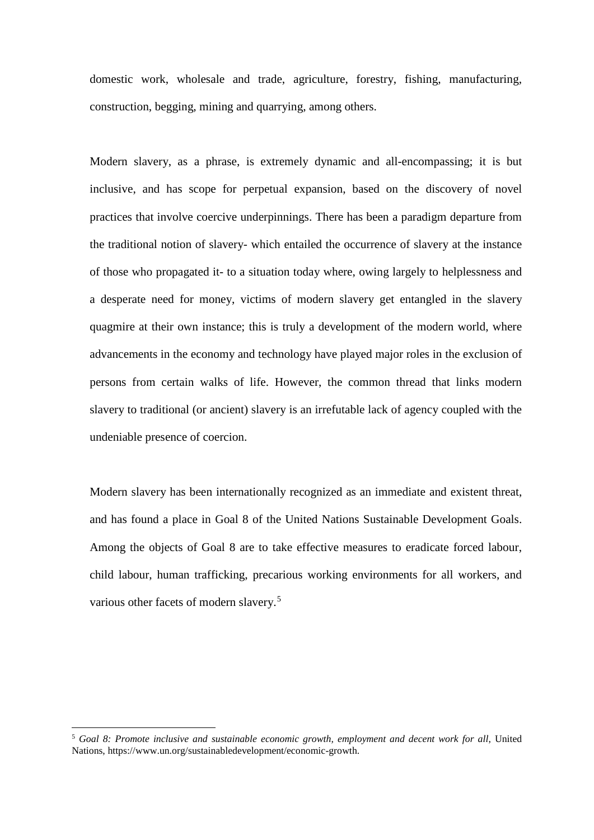domestic work, wholesale and trade, agriculture, forestry, fishing, manufacturing, construction, begging, mining and quarrying, among others.

Modern slavery, as a phrase, is extremely dynamic and all-encompassing; it is but inclusive, and has scope for perpetual expansion, based on the discovery of novel practices that involve coercive underpinnings. There has been a paradigm departure from the traditional notion of slavery- which entailed the occurrence of slavery at the instance of those who propagated it- to a situation today where, owing largely to helplessness and a desperate need for money, victims of modern slavery get entangled in the slavery quagmire at their own instance; this is truly a development of the modern world, where advancements in the economy and technology have played major roles in the exclusion of persons from certain walks of life. However, the common thread that links modern slavery to traditional (or ancient) slavery is an irrefutable lack of agency coupled with the undeniable presence of coercion.

Modern slavery has been internationally recognized as an immediate and existent threat, and has found a place in Goal 8 of the United Nations Sustainable Development Goals. Among the objects of Goal 8 are to take effective measures to eradicate forced labour, child labour, human trafficking, precarious working environments for all workers, and various other facets of modern slavery.<sup>5</sup>

<sup>5</sup> *Goal 8: Promote inclusive and sustainable economic growth, employment and decent work for all*, United Nations, https://www.un.org/sustainabledevelopment/economic-growth.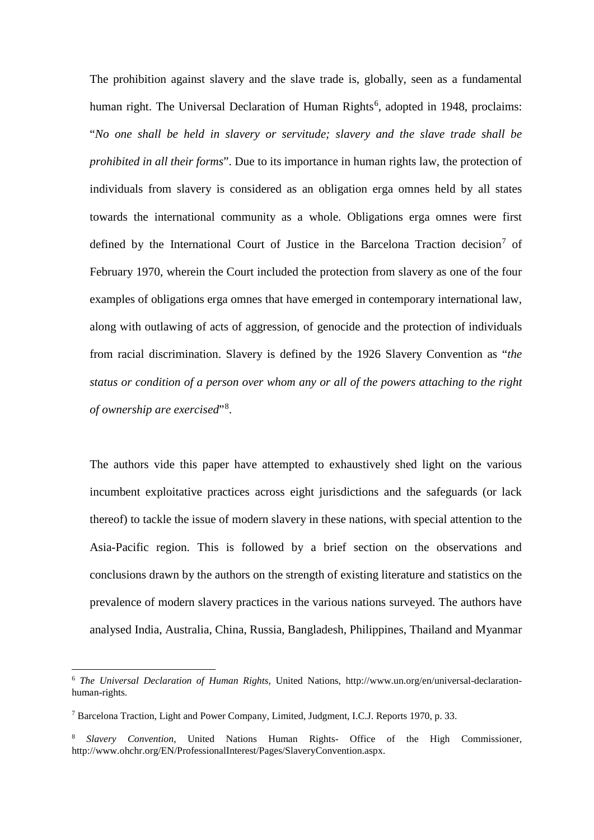The prohibition against slavery and the slave trade is, globally, seen as a fundamental human right. The Universal Declaration of Human Rights<sup>6</sup>, adopted in 1948, proclaims: "*No one shall be held in slavery or servitude; slavery and the slave trade shall be prohibited in all their forms*". Due to its importance in human rights law, the protection of individuals from slavery is considered as an obligation erga omnes held by all states towards the international community as a whole. Obligations erga omnes were first defined by the International Court of Justice in the Barcelona Traction decision<sup>7</sup> of February 1970, wherein the Court included the protection from slavery as one of the four examples of obligations erga omnes that have emerged in contemporary international law, along with outlawing of acts of aggression, of genocide and the protection of individuals from racial discrimination. Slavery is defined by the 1926 Slavery Convention as "*the status or condition of a person over whom any or all of the powers attaching to the right of ownership are exercised*"<sup>8</sup> .

The authors vide this paper have attempted to exhaustively shed light on the various incumbent exploitative practices across eight jurisdictions and the safeguards (or lack thereof) to tackle the issue of modern slavery in these nations, with special attention to the Asia-Pacific region. This is followed by a brief section on the observations and conclusions drawn by the authors on the strength of existing literature and statistics on the prevalence of modern slavery practices in the various nations surveyed. The authors have analysed India, Australia, China, Russia, Bangladesh, Philippines, Thailand and Myanmar

**.** 

<sup>6</sup> *The Universal Declaration of Human Rights*, United Nations, http://www.un.org/en/universal-declarationhuman-rights.

<sup>7</sup> Barcelona Traction, Light and Power Company, Limited, Judgment, I.C.J. Reports 1970, p. 33.

<sup>8</sup> *Slavery Convention*, United Nations Human Rights- Office of the High Commissioner, http://www.ohchr.org/EN/ProfessionalInterest/Pages/SlaveryConvention.aspx.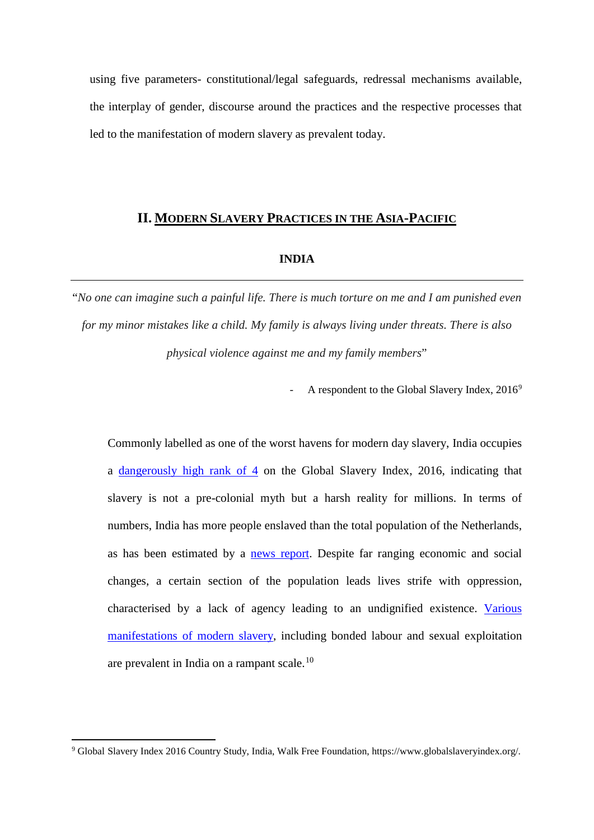using five parameters- constitutional/legal safeguards, redressal mechanisms available, the interplay of gender, discourse around the practices and the respective processes that led to the manifestation of modern slavery as prevalent today.

# **II. MODERN SLAVERY PRACTICES IN THE ASIA-PACIFIC**

#### **INDIA**

"*No one can imagine such a painful life. There is much torture on me and I am punished even for my minor mistakes like a child. My family is always living under threats. There is also physical violence against me and my family members*"

A respondent to the Global Slavery Index,  $2016^9$ 

Commonly labelled as one of the worst havens for modern day slavery, India occupies a dangerously high rank of 4 on the Global Slavery Index, 2016, indicating that slavery is not a pre-colonial myth but a harsh reality for millions. In terms of numbers, India has more people enslaved than the total population of the Netherlands, as has been estimated by a news report. Despite far ranging economic and social changes, a certain section of the population leads lives strife with oppression, characterised by a lack of agency leading to an undignified existence. Various manifestations of modern slavery, including bonded labour and sexual exploitation are prevalent in India on a rampant scale.<sup>10</sup>

<sup>9</sup> Global Slavery Index 2016 Country Study, India, Walk Free Foundation, https://www.globalslaveryindex.org/.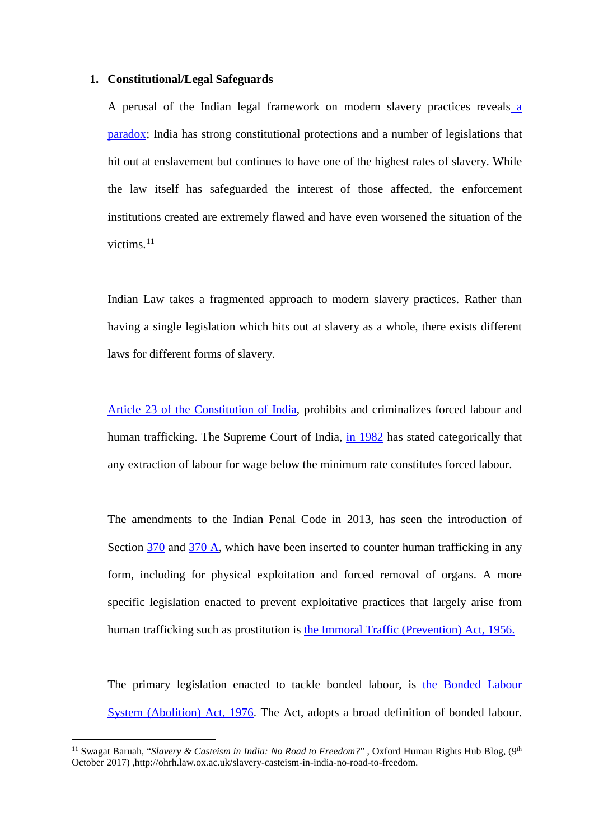### **1. Constitutional/Legal Safeguards**

A perusal of the Indian legal framework on modern slavery practices reveals a paradox; India has strong constitutional protections and a number of legislations that hit out at enslavement but continues to have one of the highest rates of slavery. While the law itself has safeguarded the interest of those affected, the enforcement institutions created are extremely flawed and have even worsened the situation of the victims. $^{11}$ 

Indian Law takes a fragmented approach to modern slavery practices. Rather than having a single legislation which hits out at slavery as a whole, there exists different laws for different forms of slavery.

Article 23 of the Constitution of India, prohibits and criminalizes forced labour and human trafficking. The Supreme Court of India, in 1982 has stated categorically that any extraction of labour for wage below the minimum rate constitutes forced labour.

The amendments to the Indian Penal Code in 2013, has seen the introduction of Section 370 and 370 A, which have been inserted to counter human trafficking in any form, including for physical exploitation and forced removal of organs. A more specific legislation enacted to prevent exploitative practices that largely arise from human trafficking such as prostitution is the Immoral Traffic (Prevention) Act, 1956.

The primary legislation enacted to tackle bonded labour, is the Bonded Labour System (Abolition) Act, 1976. The Act, adopts a broad definition of bonded labour.

<sup>&</sup>lt;sup>11</sup> Swagat Baruah, "*Slavery & Casteism in India: No Road to Freedom?*", Oxford Human Rights Hub Blog, (9<sup>th</sup> October 2017) ,http://ohrh.law.ox.ac.uk/slavery-casteism-in-india-no-road-to-freedom.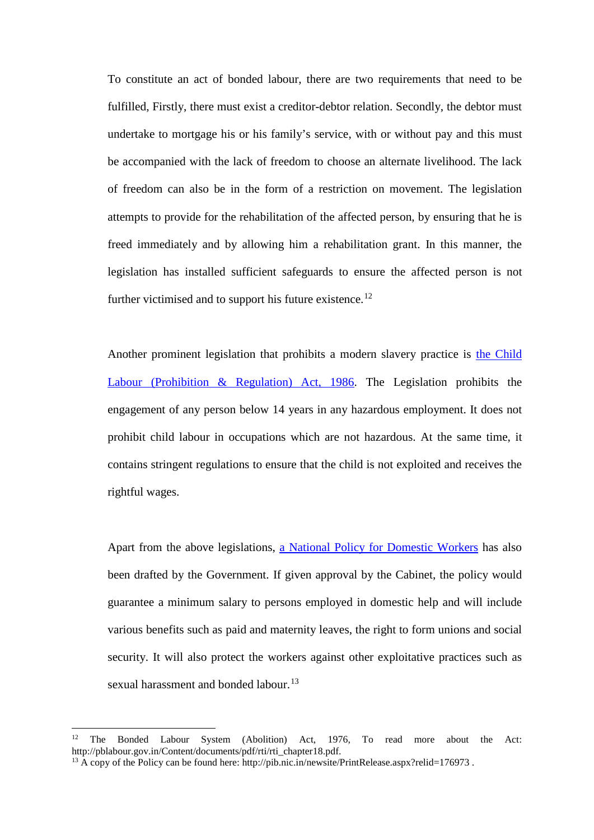To constitute an act of bonded labour, there are two requirements that need to be fulfilled, Firstly, there must exist a creditor-debtor relation. Secondly, the debtor must undertake to mortgage his or his family's service, with or without pay and this must be accompanied with the lack of freedom to choose an alternate livelihood. The lack of freedom can also be in the form of a restriction on movement. The legislation attempts to provide for the rehabilitation of the affected person, by ensuring that he is freed immediately and by allowing him a rehabilitation grant. In this manner, the legislation has installed sufficient safeguards to ensure the affected person is not further victimised and to support his future existence.<sup>12</sup>

Another prominent legislation that prohibits a modern slavery practice is the Child Labour (Prohibition & Regulation) Act, 1986. The Legislation prohibits the engagement of any person below 14 years in any hazardous employment. It does not prohibit child labour in occupations which are not hazardous. At the same time, it contains stringent regulations to ensure that the child is not exploited and receives the rightful wages.

Apart from the above legislations, a National Policy for Domestic Workers has also been drafted by the Government. If given approval by the Cabinet, the policy would guarantee a minimum salary to persons employed in domestic help and will include various benefits such as paid and maternity leaves, the right to form unions and social security. It will also protect the workers against other exploitative practices such as sexual harassment and bonded labour.<sup>13</sup>

**.** 

<sup>&</sup>lt;sup>12</sup> The Bonded Labour System (Abolition) Act, 1976, To read more about the Act: http://pblabour.gov.in/Content/documents/pdf/rti/rti\_chapter18.pdf.

<sup>&</sup>lt;sup>13</sup> A copy of the Policy can be found here: http://pib.nic.in/newsite/PrintRelease.aspx?relid=176973.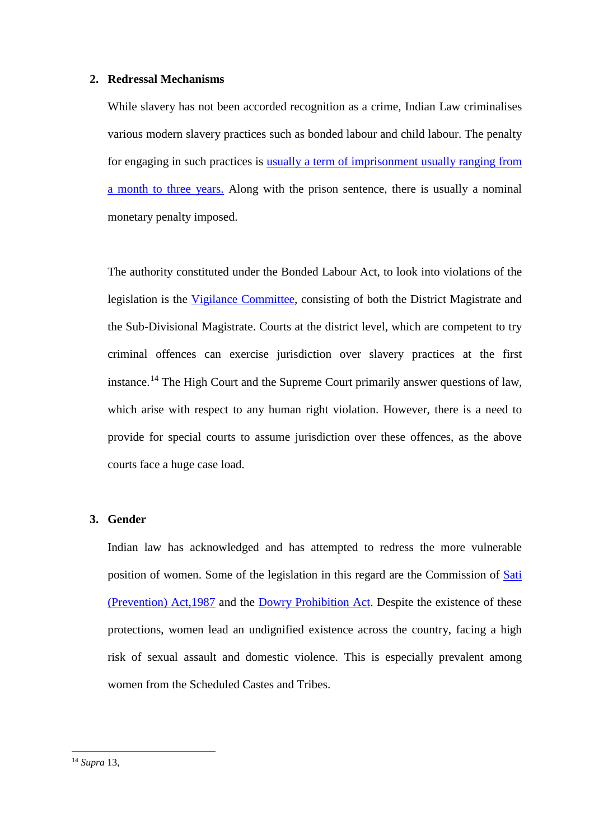## **2. Redressal Mechanisms**

While slavery has not been accorded recognition as a crime, Indian Law criminalises various modern slavery practices such as bonded labour and child labour. The penalty for engaging in such practices is usually a term of imprisonment usually ranging from a month to three years. Along with the prison sentence, there is usually a nominal monetary penalty imposed.

The authority constituted under the Bonded Labour Act, to look into violations of the legislation is the Vigilance Committee, consisting of both the District Magistrate and the Sub-Divisional Magistrate. Courts at the district level, which are competent to try criminal offences can exercise jurisdiction over slavery practices at the first instance.<sup>14</sup> The High Court and the Supreme Court primarily answer questions of law, which arise with respect to any human right violation. However, there is a need to provide for special courts to assume jurisdiction over these offences, as the above courts face a huge case load.

# **3. Gender**

Indian law has acknowledged and has attempted to redress the more vulnerable position of women. Some of the legislation in this regard are the Commission of Sati (Prevention) Act,1987 and the Dowry Prohibition Act. Despite the existence of these protections, women lead an undignified existence across the country, facing a high risk of sexual assault and domestic violence. This is especially prevalent among women from the Scheduled Castes and Tribes.

<sup>14</sup> *Supra* 13,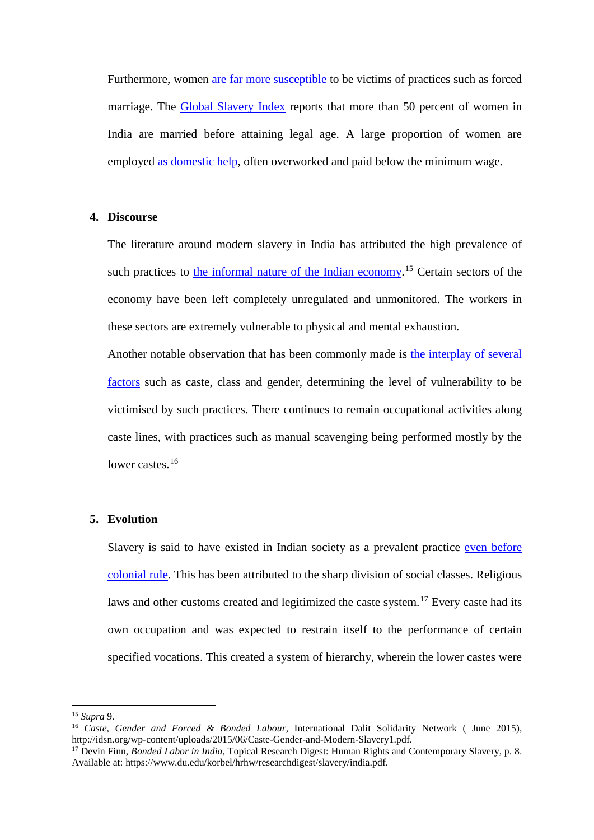Furthermore, women are far more susceptible to be victims of practices such as forced marriage. The Global Slavery Index reports that more than 50 percent of women in India are married before attaining legal age. A large proportion of women are employed as domestic help, often overworked and paid below the minimum wage.

# **4. Discourse**

The literature around modern slavery in India has attributed the high prevalence of such practices to the informal nature of the Indian economy.<sup>15</sup> Certain sectors of the economy have been left completely unregulated and unmonitored. The workers in these sectors are extremely vulnerable to physical and mental exhaustion.

Another notable observation that has been commonly made is the interplay of several factors such as caste, class and gender, determining the level of vulnerability to be victimised by such practices. There continues to remain occupational activities along caste lines, with practices such as manual scavenging being performed mostly by the lower castes.<sup>16</sup>

# **5. Evolution**

Slavery is said to have existed in Indian society as a prevalent practice even before colonial rule. This has been attributed to the sharp division of social classes. Religious laws and other customs created and legitimized the caste system.<sup>17</sup> Every caste had its own occupation and was expected to restrain itself to the performance of certain specified vocations. This created a system of hierarchy, wherein the lower castes were

**.** 

<sup>&</sup>lt;sup>15</sup> *Supra* 9.<br><sup>16</sup> *Caste, Gender and Forced & Bonded Labour*, International Dalit Solidarity Network ( June 2015), http://idsn.org/wp-content/uploads/2015/06/Caste-Gender-and-Modern-Slavery1.pdf.

<sup>&</sup>lt;sup>17</sup> Devin Finn, *Bonded Labor in India*, Topical Research Digest: Human Rights and Contemporary Slavery, p. 8. Available at: https://www.du.edu/korbel/hrhw/researchdigest/slavery/india.pdf.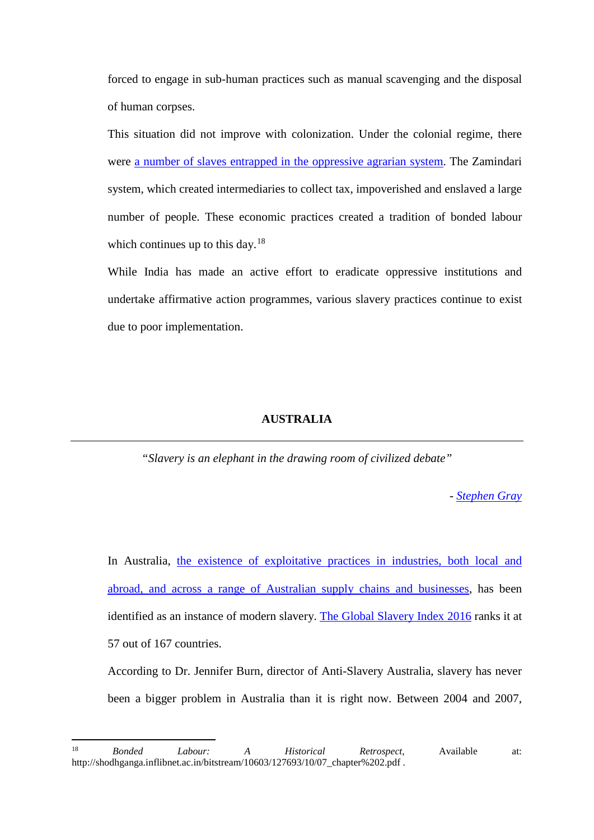forced to engage in sub-human practices such as manual scavenging and the disposal of human corpses.

This situation did not improve with colonization. Under the colonial regime, there were a number of slaves entrapped in the oppressive agrarian system. The Zamindari system, which created intermediaries to collect tax, impoverished and enslaved a large number of people. These economic practices created a tradition of bonded labour which continues up to this day.<sup>18</sup>

While India has made an active effort to eradicate oppressive institutions and undertake affirmative action programmes, various slavery practices continue to exist due to poor implementation.

### **AUSTRALIA**

*"Slavery is an elephant in the drawing room of civilized debate"*

*- Stephen Gray*

In Australia, the existence of exploitative practices in industries, both local and abroad, and across a range of Australian supply chains and businesses, has been identified as an instance of modern slavery. The Global Slavery Index 2016 ranks it at 57 out of 167 countries.

According to Dr. Jennifer Burn, director of Anti-Slavery Australia, slavery has never been a bigger problem in Australia than it is right now. Between 2004 and 2007,

<sup>18</sup> <sup>18</sup> *Bonded Labour: A Historical Retrospect*, Available at: http://shodhganga.inflibnet.ac.in/bitstream/10603/127693/10/07\_chapter%202.pdf .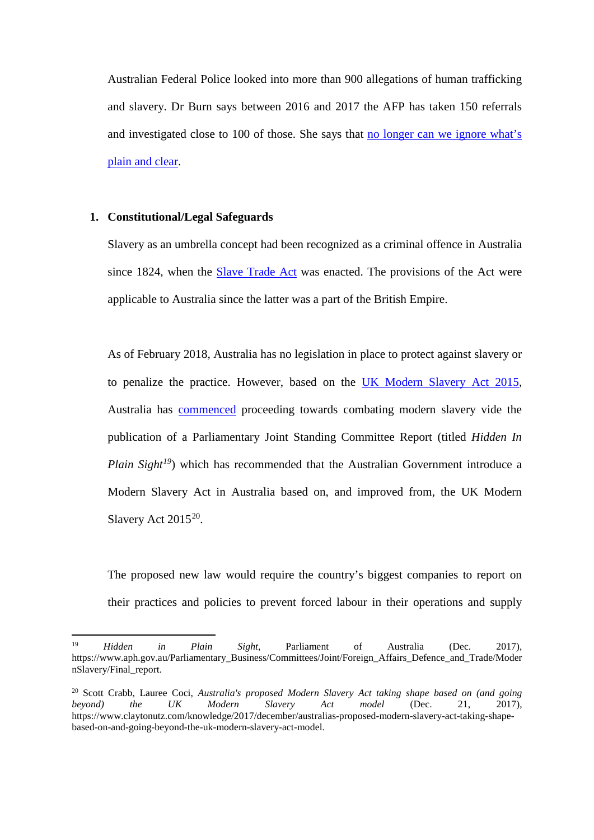Australian Federal Police looked into more than 900 allegations of human trafficking and slavery. Dr Burn says between 2016 and 2017 the AFP has taken 150 referrals and investigated close to 100 of those. She says that no longer can we ignore what's plain and clear.

# **1. Constitutional/Legal Safeguards**

 $\overline{a}$ 

Slavery as an umbrella concept had been recognized as a criminal offence in Australia since 1824, when the Slave Trade Act was enacted. The provisions of the Act were applicable to Australia since the latter was a part of the British Empire.

As of February 2018, Australia has no legislation in place to protect against slavery or to penalize the practice. However, based on the UK Modern Slavery Act 2015, Australia has commenced proceeding towards combating modern slavery vide the publication of a Parliamentary Joint Standing Committee Report (titled *Hidden In Plain Sight<sup>19</sup>*) which has recommended that the Australian Government introduce a Modern Slavery Act in Australia based on, and improved from, the UK Modern Slavery Act 2015<sup>20</sup>.

The proposed new law would require the country's biggest companies to report on their practices and policies to prevent forced labour in their operations and supply

<sup>19</sup> *Hidden in Plain Sight*, Parliament of Australia (Dec. 2017), https://www.aph.gov.au/Parliamentary\_Business/Committees/Joint/Foreign\_Affairs\_Defence\_and\_Trade/Moder nSlavery/Final\_report.

<sup>20</sup> Scott Crabb, Lauree Coci, *Australia's proposed Modern Slavery Act taking shape based on (and going beyond) the UK Modern Slavery Act model* (Dec. 21, 2017), https://www.claytonutz.com/knowledge/2017/december/australias-proposed-modern-slavery-act-taking-shapebased-on-and-going-beyond-the-uk-modern-slavery-act-model.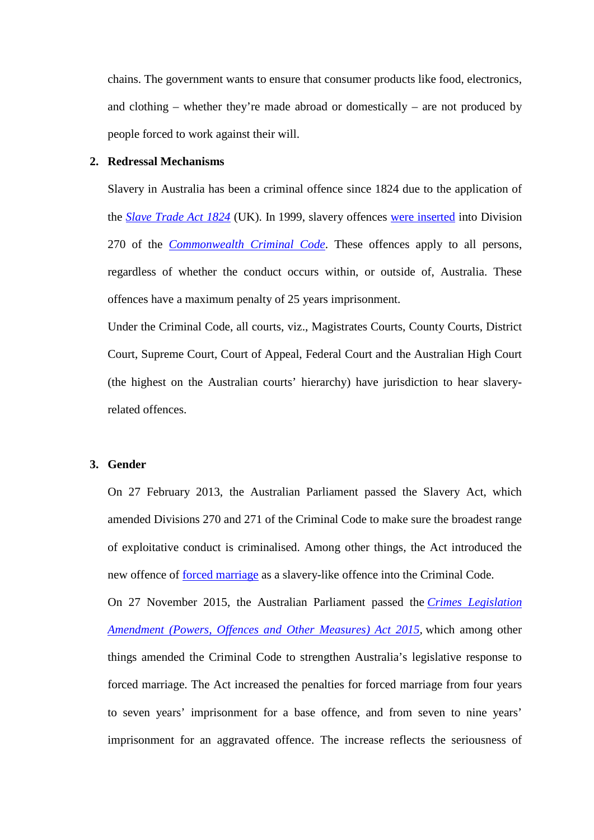chains. The government wants to ensure that consumer products like food, electronics, and clothing – whether they're made abroad or domestically – are not produced by people forced to work against their will.

### **2. Redressal Mechanisms**

Slavery in Australia has been a criminal offence since 1824 due to the application of the *Slave Trade Act 1824* (UK). In 1999, slavery offences were inserted into Division 270 of the *Commonwealth Criminal Code*. These offences apply to all persons, regardless of whether the conduct occurs within, or outside of, Australia. These offences have a maximum penalty of 25 years imprisonment.

Under the Criminal Code, all courts, viz., Magistrates Courts, County Courts, District Court, Supreme Court, Court of Appeal, Federal Court and the Australian High Court (the highest on the Australian courts' hierarchy) have jurisdiction to hear slaveryrelated offences.

### **3. Gender**

On 27 February 2013, the Australian Parliament passed the Slavery Act, which amended Divisions 270 and 271 of the Criminal Code to make sure the broadest range of exploitative conduct is criminalised. Among other things, the Act introduced the new offence of forced marriage as a slavery-like offence into the Criminal Code.

On 27 November 2015, the Australian Parliament passed the *Crimes Legislation Amendment (Powers, Offences and Other Measures) Act 2015,* which among other things amended the Criminal Code to strengthen Australia's legislative response to forced marriage. The Act increased the penalties for forced marriage from four years to seven years' imprisonment for a base offence, and from seven to nine years' imprisonment for an aggravated offence. The increase reflects the seriousness of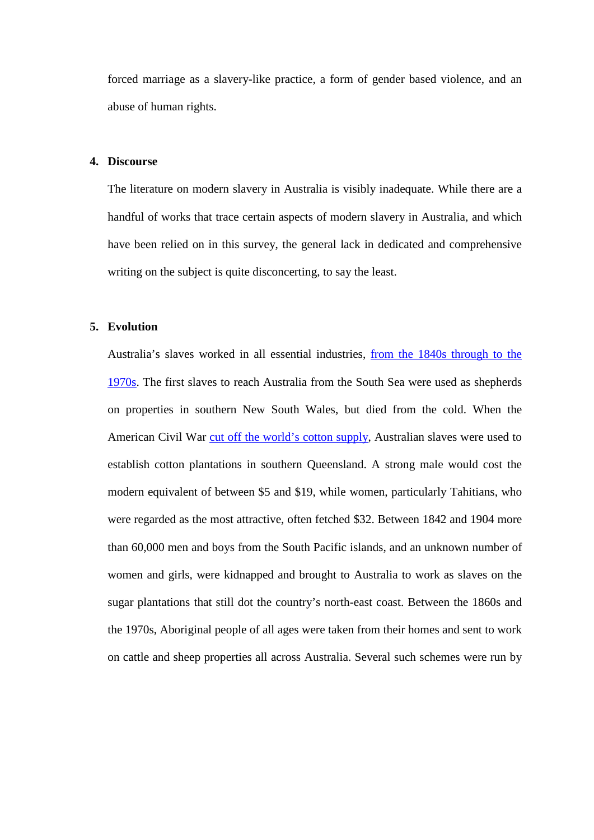forced marriage as a slavery-like practice, a form of gender based violence, and an abuse of human rights.

### **4. Discourse**

The literature on modern slavery in Australia is visibly inadequate. While there are a handful of works that trace certain aspects of modern slavery in Australia, and which have been relied on in this survey, the general lack in dedicated and comprehensive writing on the subject is quite disconcerting, to say the least.

## **5. Evolution**

Australia's slaves worked in all essential industries, from the 1840s through to the 1970s. The first slaves to reach Australia from the South Sea were used as shepherds on properties in southern New South Wales, but died from the cold. When the American Civil War cut off the world's cotton supply, Australian slaves were used to establish cotton plantations in southern Queensland. A strong male would cost the modern equivalent of between \$5 and \$19, while women, particularly Tahitians, who were regarded as the most attractive, often fetched \$32. Between 1842 and 1904 more than 60,000 men and boys from the South Pacific islands, and an unknown number of women and girls, were kidnapped and brought to Australia to work as slaves on the sugar plantations that still dot the country's north-east coast. Between the 1860s and the 1970s, Aboriginal people of all ages were taken from their homes and sent to work on cattle and sheep properties all across Australia. Several such schemes were run by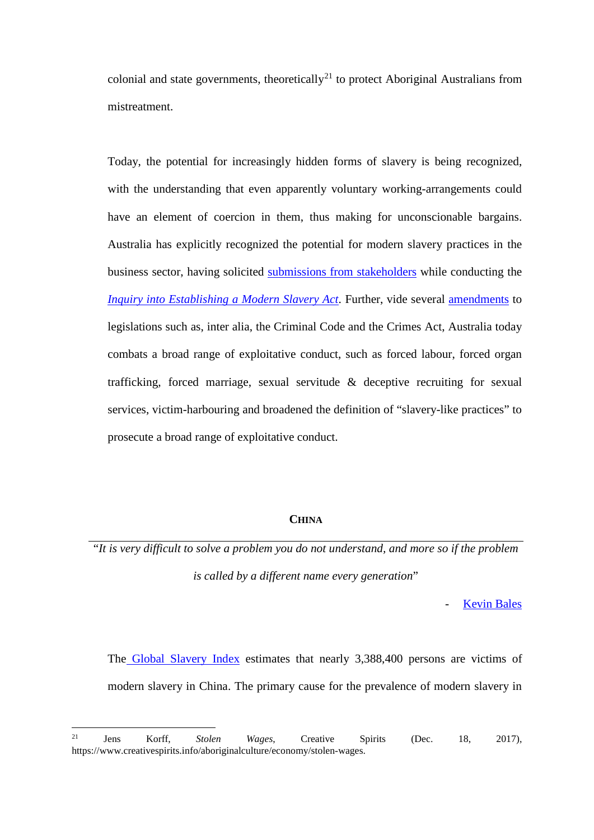colonial and state governments, theoretically<sup>21</sup> to protect Aboriginal Australians from mistreatment.

Today, the potential for increasingly hidden forms of slavery is being recognized, with the understanding that even apparently voluntary working-arrangements could have an element of coercion in them, thus making for unconscionable bargains. Australia has explicitly recognized the potential for modern slavery practices in the business sector, having solicited submissions from stakeholders while conducting the *Inquiry into Establishing a Modern Slavery Act*. Further, vide several amendments to legislations such as, inter alia, the Criminal Code and the Crimes Act, Australia today combats a broad range of exploitative conduct, such as forced labour, forced organ trafficking, forced marriage, sexual servitude & deceptive recruiting for sexual services, victim-harbouring and broadened the definition of "slavery-like practices" to prosecute a broad range of exploitative conduct.

# **CHINA**

"*It is very difficult to solve a problem you do not understand, and more so if the problem is called by a different name every generation*"

**Kevin Bales** 

The Global Slavery Index estimates that nearly 3,388,400 persons are victims of modern slavery in China. The primary cause for the prevalence of modern slavery in

 $21\,$ <sup>21</sup> Jens Korff, *Stolen Wages*, Creative Spirits (Dec. 18, 2017), https://www.creativespirits.info/aboriginalculture/economy/stolen-wages.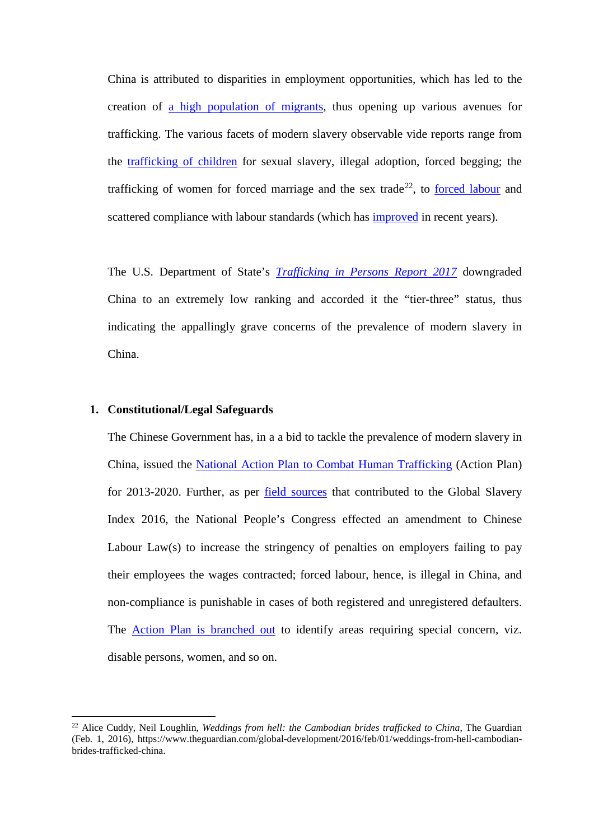China is attributed to disparities in employment opportunities, which has led to the creation of a high population of migrants, thus opening up various avenues for trafficking. The various facets of modern slavery observable vide reports range from the trafficking of children for sexual slavery, illegal adoption, forced begging; the trafficking of women for forced marriage and the sex trade<sup>22</sup>, to forced labour and scattered compliance with labour standards (which has *improved* in recent years).

The U.S. Department of State's *Trafficking in Persons Report 2017* downgraded China to an extremely low ranking and accorded it the "tier-three" status, thus indicating the appallingly grave concerns of the prevalence of modern slavery in China.

# **1. Constitutional/Legal Safeguards**

**.** 

The Chinese Government has, in a a bid to tackle the prevalence of modern slavery in China, issued the National Action Plan to Combat Human Trafficking (Action Plan) for 2013-2020. Further, as per field sources that contributed to the Global Slavery Index 2016, the National People's Congress effected an amendment to Chinese Labour Law(s) to increase the stringency of penalties on employers failing to pay their employees the wages contracted; forced labour, hence, is illegal in China, and non-compliance is punishable in cases of both registered and unregistered defaulters. The Action Plan is branched out to identify areas requiring special concern, viz. disable persons, women, and so on.

<sup>22</sup> Alice Cuddy, Neil Loughlin, *Weddings from hell: the Cambodian brides trafficked to China*, The Guardian (Feb. 1, 2016), https://www.theguardian.com/global-development/2016/feb/01/weddings-from-hell-cambodianbrides-trafficked-china.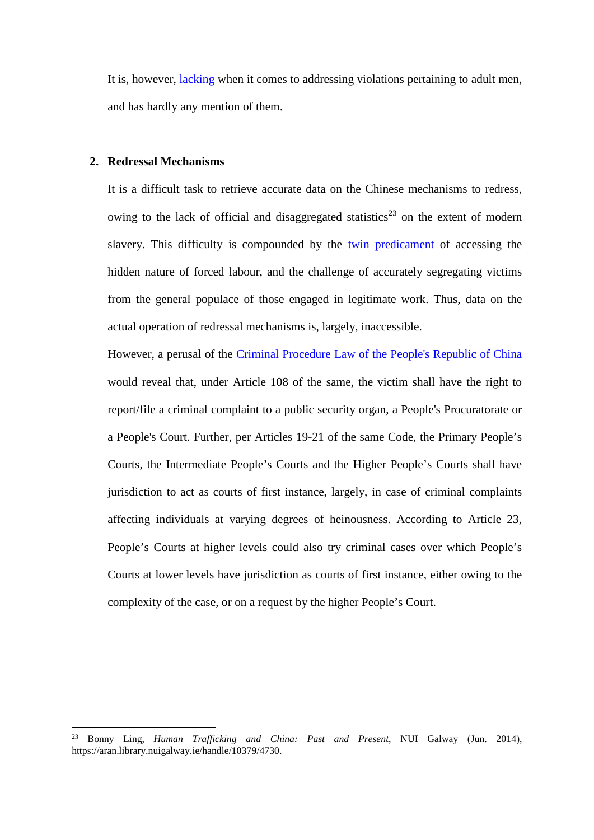It is, however, *lacking* when it comes to addressing violations pertaining to adult men, and has hardly any mention of them.

## **2. Redressal Mechanisms**

 $\overline{a}$ 

It is a difficult task to retrieve accurate data on the Chinese mechanisms to redress, owing to the lack of official and disaggregated statistics<sup>23</sup> on the extent of modern slavery. This difficulty is compounded by the twin predicament of accessing the hidden nature of forced labour, and the challenge of accurately segregating victims from the general populace of those engaged in legitimate work. Thus, data on the actual operation of redressal mechanisms is, largely, inaccessible.

However, a perusal of the Criminal Procedure Law of the People's Republic of China would reveal that, under Article 108 of the same, the victim shall have the right to report/file a criminal complaint to a public security organ, a People's Procuratorate or a People's Court. Further, per Articles 19-21 of the same Code, the Primary People's Courts, the Intermediate People's Courts and the Higher People's Courts shall have jurisdiction to act as courts of first instance, largely, in case of criminal complaints affecting individuals at varying degrees of heinousness. According to Article 23, People's Courts at higher levels could also try criminal cases over which People's Courts at lower levels have jurisdiction as courts of first instance, either owing to the complexity of the case, or on a request by the higher People's Court.

<sup>23</sup> Bonny Ling, *Human Trafficking and China: Past and Present*, NUI Galway (Jun. 2014), https://aran.library.nuigalway.ie/handle/10379/4730.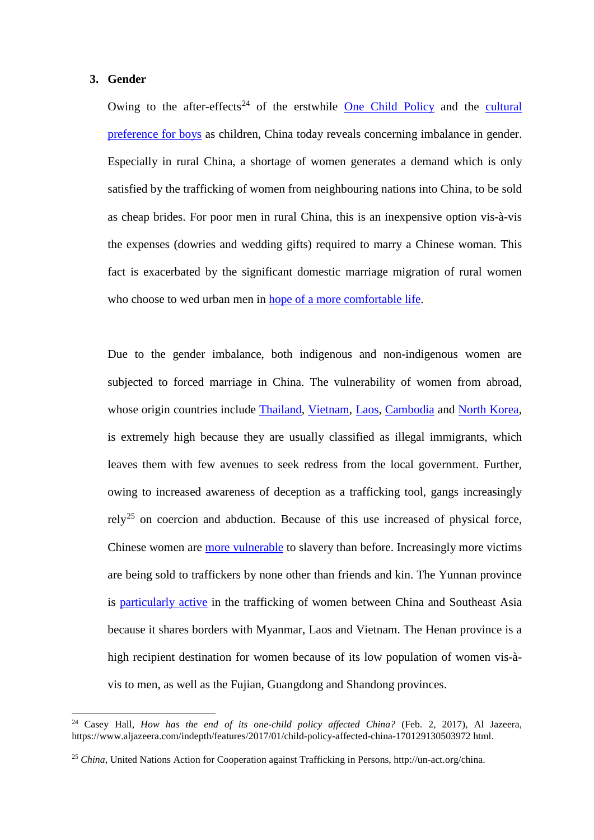### **3. Gender**

<u>.</u>

Owing to the after-effects<sup>24</sup> of the erstwhile One Child Policy and the cultural preference for boys as children, China today reveals concerning imbalance in gender. Especially in rural China, a shortage of women generates a demand which is only satisfied by the trafficking of women from neighbouring nations into China, to be sold as cheap brides. For poor men in rural China, this is an inexpensive option vis-à-vis the expenses (dowries and wedding gifts) required to marry a Chinese woman. This fact is exacerbated by the significant domestic marriage migration of rural women who choose to wed urban men in hope of a more comfortable life.

Due to the gender imbalance, both indigenous and non-indigenous women are subjected to forced marriage in China. The vulnerability of women from abroad, whose origin countries include Thailand, Vietnam, Laos, Cambodia and North Korea, is extremely high because they are usually classified as illegal immigrants, which leaves them with few avenues to seek redress from the local government. Further, owing to increased awareness of deception as a trafficking tool, gangs increasingly rely<sup>25</sup> on coercion and abduction. Because of this use increased of physical force, Chinese women are more vulnerable to slavery than before. Increasingly more victims are being sold to traffickers by none other than friends and kin. The Yunnan province is particularly active in the trafficking of women between China and Southeast Asia because it shares borders with Myanmar, Laos and Vietnam. The Henan province is a high recipient destination for women because of its low population of women vis-àvis to men, as well as the Fujian, Guangdong and Shandong provinces.

<sup>24</sup> Casey Hall, *How has the end of its one-child policy affected China?* (Feb. 2, 2017), Al Jazeera, https://www.aljazeera.com/indepth/features/2017/01/child-policy-affected-china-170129130503972 html.

<sup>25</sup> *China*, United Nations Action for Cooperation against Trafficking in Persons, http://un-act.org/china.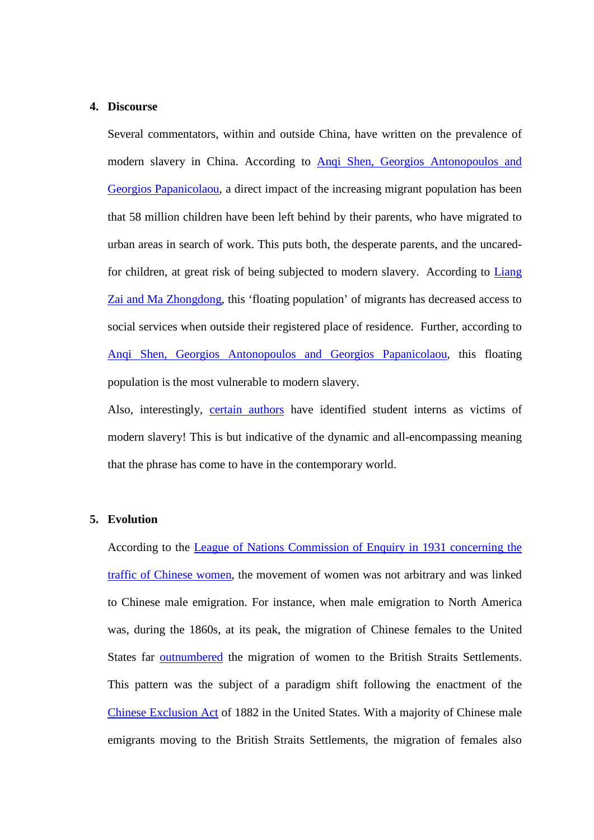### **4. Discourse**

Several commentators, within and outside China, have written on the prevalence of modern slavery in China. According to Anqi Shen, Georgios Antonopoulos and Georgios Papanicolaou, a direct impact of the increasing migrant population has been that 58 million children have been left behind by their parents, who have migrated to urban areas in search of work. This puts both, the desperate parents, and the uncaredfor children, at great risk of being subjected to modern slavery. According to Liang Zai and Ma Zhongdong, this 'floating population' of migrants has decreased access to social services when outside their registered place of residence. Further, according to Anqi Shen, Georgios Antonopoulos and Georgios Papanicolaou, this floating population is the most vulnerable to modern slavery.

Also, interestingly, certain authors have identified student interns as victims of modern slavery! This is but indicative of the dynamic and all-encompassing meaning that the phrase has come to have in the contemporary world.

# **5. Evolution**

According to the League of Nations Commission of Enquiry in 1931 concerning the traffic of Chinese women, the movement of women was not arbitrary and was linked to Chinese male emigration. For instance, when male emigration to North America was, during the 1860s, at its peak, the migration of Chinese females to the United States far outnumbered the migration of women to the British Straits Settlements. This pattern was the subject of a paradigm shift following the enactment of the Chinese Exclusion Act of 1882 in the United States. With a majority of Chinese male emigrants moving to the British Straits Settlements, the migration of females also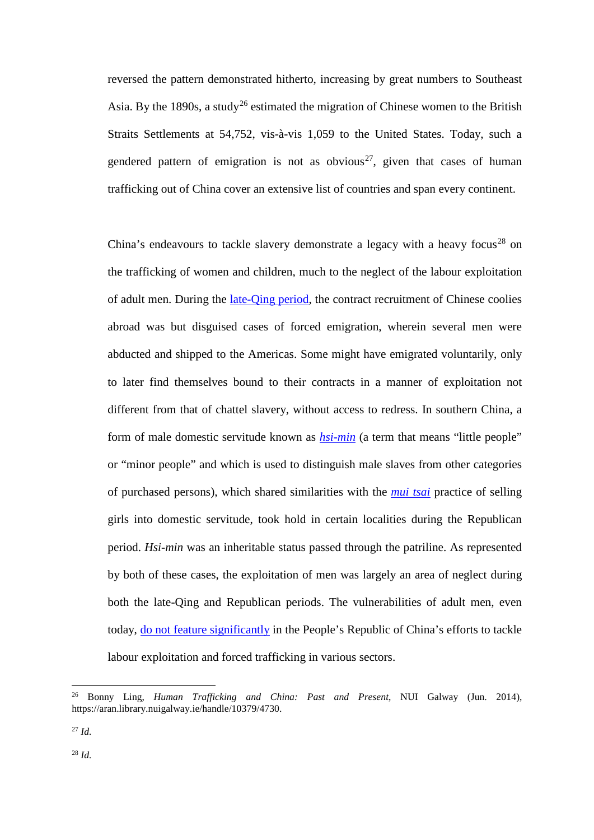reversed the pattern demonstrated hitherto, increasing by great numbers to Southeast Asia. By the 1890s, a study<sup>26</sup> estimated the migration of Chinese women to the British Straits Settlements at 54,752, vis-à-vis 1,059 to the United States. Today, such a gendered pattern of emigration is not as obvious<sup>27</sup>, given that cases of human trafficking out of China cover an extensive list of countries and span every continent.

China's endeavours to tackle slavery demonstrate a legacy with a heavy focus<sup>28</sup> on the trafficking of women and children, much to the neglect of the labour exploitation of adult men. During the late-Qing period, the contract recruitment of Chinese coolies abroad was but disguised cases of forced emigration, wherein several men were abducted and shipped to the Americas. Some might have emigrated voluntarily, only to later find themselves bound to their contracts in a manner of exploitation not different from that of chattel slavery, without access to redress. In southern China, a form of male domestic servitude known as *hsi-min* (a term that means "little people" or "minor people" and which is used to distinguish male slaves from other categories of purchased persons), which shared similarities with the *mui tsai* practice of selling girls into domestic servitude, took hold in certain localities during the Republican period. *Hsi-min* was an inheritable status passed through the patriline. As represented by both of these cases, the exploitation of men was largely an area of neglect during both the late-Qing and Republican periods. The vulnerabilities of adult men, even today, do not feature significantly in the People's Republic of China's efforts to tackle labour exploitation and forced trafficking in various sectors.

<sup>26</sup> Bonny Ling, *Human Trafficking and China: Past and Present*, NUI Galway (Jun. 2014), https://aran.library.nuigalway.ie/handle/10379/4730.

<sup>27</sup> *Id.*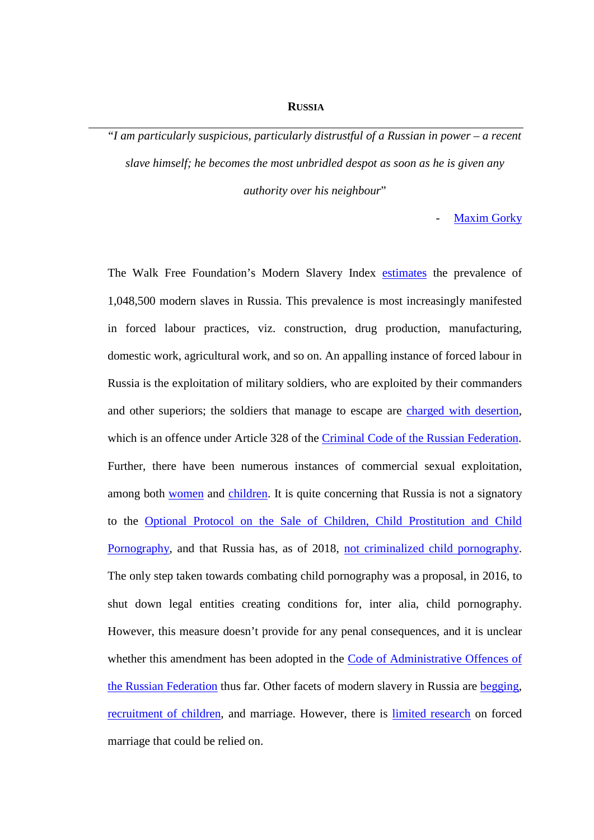#### **RUSSIA**

"*I am particularly suspicious, particularly distrustful of a Russian in power – a recent slave himself; he becomes the most unbridled despot as soon as he is given any authority over his neighbour*"

**Maxim Gorky** 

The Walk Free Foundation's Modern Slavery Index estimates the prevalence of 1,048,500 modern slaves in Russia. This prevalence is most increasingly manifested in forced labour practices, viz. construction, drug production, manufacturing, domestic work, agricultural work, and so on. An appalling instance of forced labour in Russia is the exploitation of military soldiers, who are exploited by their commanders and other superiors; the soldiers that manage to escape are charged with desertion, which is an offence under Article 328 of the Criminal Code of the Russian Federation. Further, there have been numerous instances of commercial sexual exploitation, among both women and children. It is quite concerning that Russia is not a signatory to the Optional Protocol on the Sale of Children, Child Prostitution and Child Pornography, and that Russia has, as of 2018, not criminalized child pornography. The only step taken towards combating child pornography was a proposal, in 2016, to shut down legal entities creating conditions for, inter alia, child pornography. However, this measure doesn't provide for any penal consequences, and it is unclear whether this amendment has been adopted in the Code of Administrative Offences of the Russian Federation thus far. Other facets of modern slavery in Russia are begging, recruitment of children, and marriage. However, there is limited research on forced marriage that could be relied on.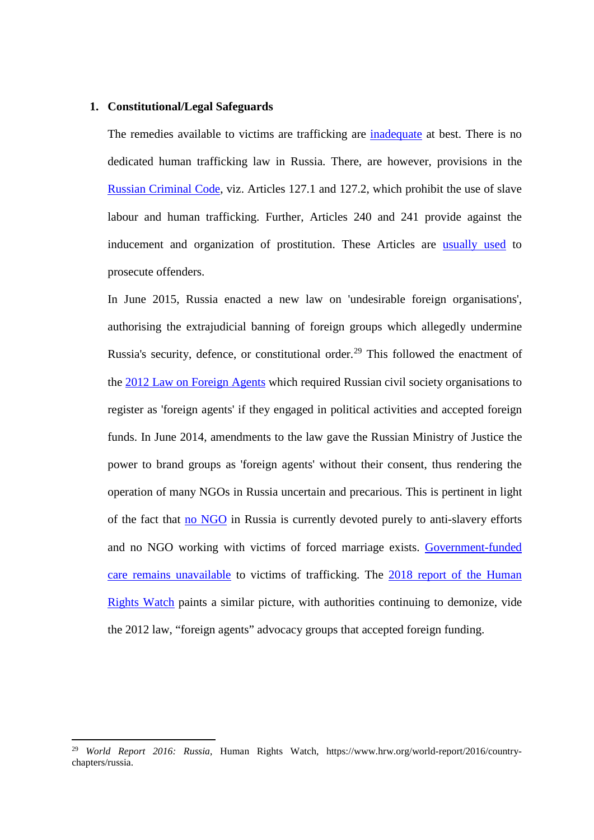#### **1. Constitutional/Legal Safeguards**

The remedies available to victims are trafficking are inadequate at best. There is no dedicated human trafficking law in Russia. There, are however, provisions in the Russian Criminal Code, viz. Articles 127.1 and 127.2, which prohibit the use of slave labour and human trafficking. Further, Articles 240 and 241 provide against the inducement and organization of prostitution. These Articles are usually used to prosecute offenders.

In June 2015, Russia enacted a new law on 'undesirable foreign organisations', authorising the extrajudicial banning of foreign groups which allegedly undermine Russia's security, defence, or constitutional order.<sup>29</sup> This followed the enactment of the 2012 Law on Foreign Agents which required Russian civil society organisations to register as 'foreign agents' if they engaged in political activities and accepted foreign funds. In June 2014, amendments to the law gave the Russian Ministry of Justice the power to brand groups as 'foreign agents' without their consent, thus rendering the operation of many NGOs in Russia uncertain and precarious. This is pertinent in light of the fact that no NGO in Russia is currently devoted purely to anti-slavery efforts and no NGO working with victims of forced marriage exists. Government-funded care remains unavailable to victims of trafficking. The 2018 report of the Human Rights Watch paints a similar picture, with authorities continuing to demonize, vide the 2012 law, "foreign agents" advocacy groups that accepted foreign funding.

<sup>29</sup> *World Report 2016: Russia*, Human Rights Watch, https://www.hrw.org/world-report/2016/countrychapters/russia.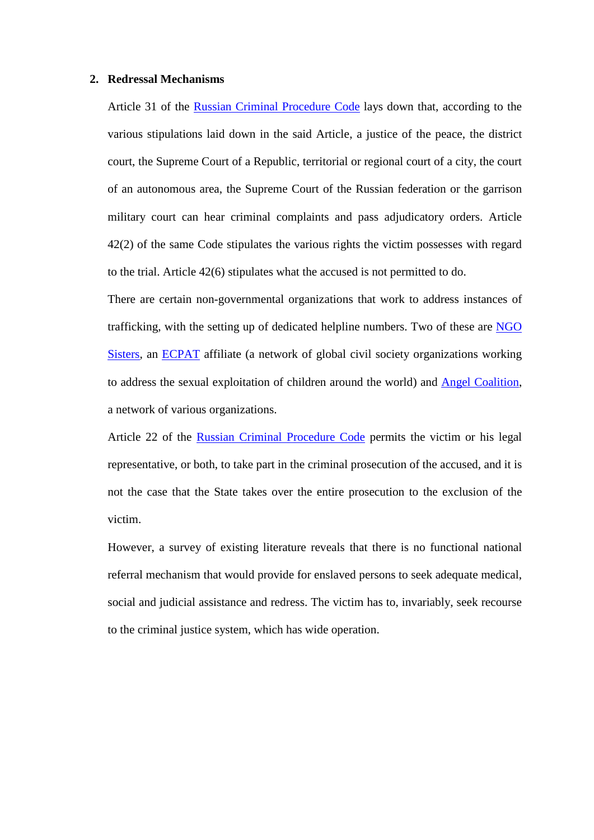#### **2. Redressal Mechanisms**

Article 31 of the Russian Criminal Procedure Code lays down that, according to the various stipulations laid down in the said Article, a justice of the peace, the district court, the Supreme Court of a Republic, territorial or regional court of a city, the court of an autonomous area, the Supreme Court of the Russian federation or the garrison military court can hear criminal complaints and pass adjudicatory orders. Article 42(2) of the same Code stipulates the various rights the victim possesses with regard to the trial. Article 42(6) stipulates what the accused is not permitted to do.

There are certain non-governmental organizations that work to address instances of trafficking, with the setting up of dedicated helpline numbers. Two of these are NGO Sisters, an ECPAT affiliate (a network of global civil society organizations working to address the sexual exploitation of children around the world) and Angel Coalition, a network of various organizations.

Article 22 of the Russian Criminal Procedure Code permits the victim or his legal representative, or both, to take part in the criminal prosecution of the accused, and it is not the case that the State takes over the entire prosecution to the exclusion of the victim.

However, a survey of existing literature reveals that there is no functional national referral mechanism that would provide for enslaved persons to seek adequate medical, social and judicial assistance and redress. The victim has to, invariably, seek recourse to the criminal justice system, which has wide operation.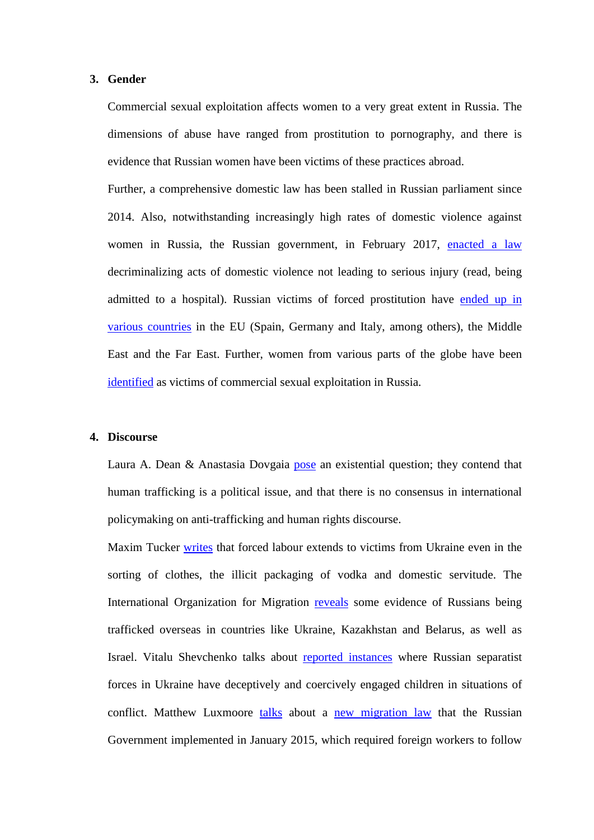#### **3. Gender**

Commercial sexual exploitation affects women to a very great extent in Russia. The dimensions of abuse have ranged from prostitution to pornography, and there is evidence that Russian women have been victims of these practices abroad.

Further, a comprehensive domestic law has been stalled in Russian parliament since 2014. Also, notwithstanding increasingly high rates of domestic violence against women in Russia, the Russian government, in February 2017, enacted a law decriminalizing acts of domestic violence not leading to serious injury (read, being admitted to a hospital). Russian victims of forced prostitution have ended up in various countries in the EU (Spain, Germany and Italy, among others), the Middle East and the Far East. Further, women from various parts of the globe have been identified as victims of commercial sexual exploitation in Russia.

#### **4. Discourse**

Laura A. Dean & Anastasia Dovgaia pose an existential question; they contend that human trafficking is a political issue, and that there is no consensus in international policymaking on anti-trafficking and human rights discourse.

Maxim Tucker writes that forced labour extends to victims from Ukraine even in the sorting of clothes, the illicit packaging of vodka and domestic servitude. The International Organization for Migration reveals some evidence of Russians being trafficked overseas in countries like Ukraine, Kazakhstan and Belarus, as well as Israel. Vitalu Shevchenko talks about reported instances where Russian separatist forces in Ukraine have deceptively and coercively engaged children in situations of conflict. Matthew Luxmoore talks about a new migration law that the Russian Government implemented in January 2015, which required foreign workers to follow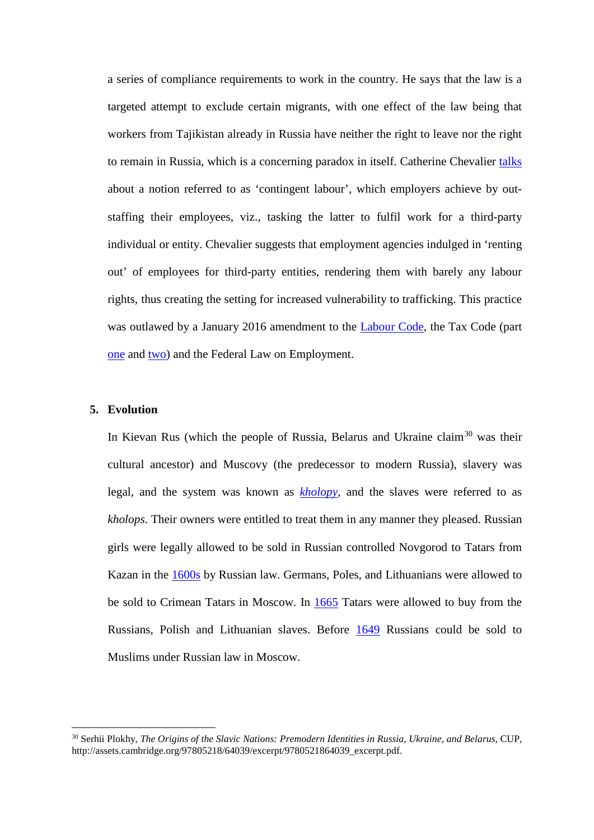a series of compliance requirements to work in the country. He says that the law is a targeted attempt to exclude certain migrants, with one effect of the law being that workers from Tajikistan already in Russia have neither the right to leave nor the right to remain in Russia, which is a concerning paradox in itself. Catherine Chevalier talks about a notion referred to as 'contingent labour', which employers achieve by outstaffing their employees, viz., tasking the latter to fulfil work for a third-party individual or entity. Chevalier suggests that employment agencies indulged in 'renting out' of employees for third-party entities, rendering them with barely any labour rights, thus creating the setting for increased vulnerability to trafficking. This practice was outlawed by a January 2016 amendment to the Labour Code, the Tax Code (part one and two) and the Federal Law on Employment.

# **5. Evolution**

 $\overline{a}$ 

In Kievan Rus (which the people of Russia, Belarus and Ukraine claim<sup>30</sup> was their cultural ancestor) and Muscovy (the predecessor to modern Russia), slavery was legal, and the system was known as *kholopy*, and the slaves were referred to as *kholops*. Their owners were entitled to treat them in any manner they pleased. Russian girls were legally allowed to be sold in Russian controlled Novgorod to Tatars from Kazan in the 1600s by Russian law. Germans, Poles, and Lithuanians were allowed to be sold to Crimean Tatars in Moscow. In 1665 Tatars were allowed to buy from the Russians, Polish and Lithuanian slaves. Before 1649 Russians could be sold to Muslims under Russian law in Moscow.

<sup>30</sup> Serhii Plokhy, *The Origins of the Slavic Nations: Premodern Identities in Russia, Ukraine, and Belarus*, CUP, http://assets.cambridge.org/97805218/64039/excerpt/9780521864039\_excerpt.pdf.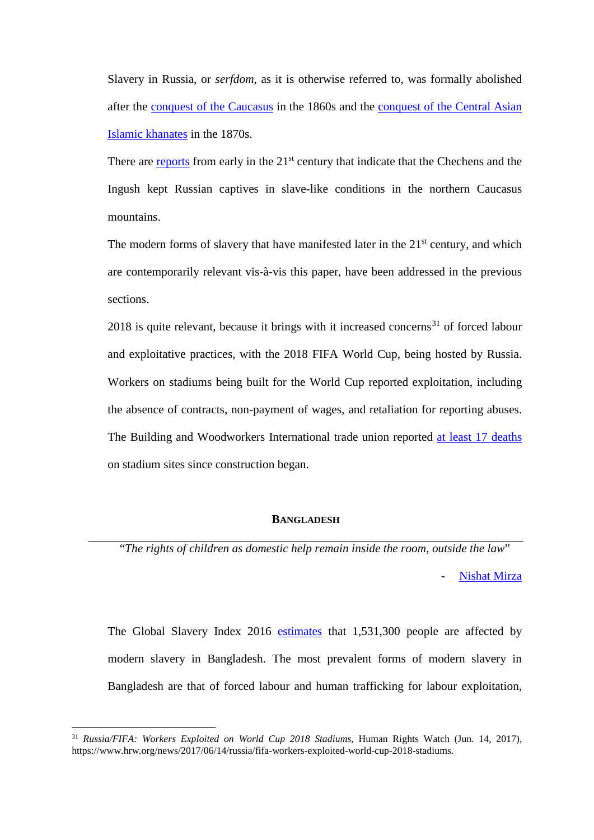Slavery in Russia, or *serfdom*, as it is otherwise referred to, was formally abolished after the conquest of the Caucasus in the 1860s and the conquest of the Central Asian Islamic khanates in the 1870s.

There are reports from early in the 21<sup>st</sup> century that indicate that the Chechens and the Ingush kept Russian captives in slave-like conditions in the northern Caucasus mountains.

The modern forms of slavery that have manifested later in the  $21<sup>st</sup>$  century, and which are contemporarily relevant vis-à-vis this paper, have been addressed in the previous sections.

2018 is quite relevant, because it brings with it increased concerns<sup>31</sup> of forced labour and exploitative practices, with the 2018 FIFA World Cup, being hosted by Russia. Workers on stadiums being built for the World Cup reported exploitation, including the absence of contracts, non-payment of wages, and retaliation for reporting abuses. The Building and Woodworkers International trade union reported at least 17 deaths on stadium sites since construction began.

## **BANGLADESH**

"*The rights of children as domestic help remain inside the room, outside the law*" Nishat Mirza

The Global Slavery Index 2016 estimates that 1,531,300 people are affected by modern slavery in Bangladesh. The most prevalent forms of modern slavery in Bangladesh are that of forced labour and human trafficking for labour exploitation,

<sup>31</sup> *Russia/FIFA: Workers Exploited on World Cup 2018 Stadiums*, Human Rights Watch (Jun. 14, 2017), https://www.hrw.org/news/2017/06/14/russia/fifa-workers-exploited-world-cup-2018-stadiums.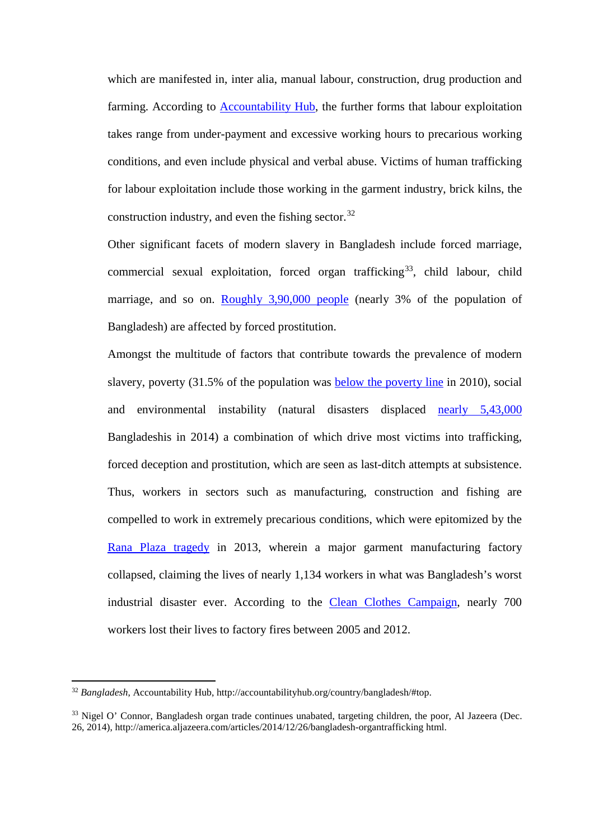which are manifested in, inter alia, manual labour, construction, drug production and farming. According to Accountability Hub, the further forms that labour exploitation takes range from under-payment and excessive working hours to precarious working conditions, and even include physical and verbal abuse. Victims of human trafficking for labour exploitation include those working in the garment industry, brick kilns, the construction industry, and even the fishing sector.<sup>32</sup>

Other significant facets of modern slavery in Bangladesh include forced marriage, commercial sexual exploitation, forced organ trafficking<sup>33</sup>, child labour, child marriage, and so on. Roughly 3,90,000 people (nearly 3% of the population of Bangladesh) are affected by forced prostitution.

Amongst the multitude of factors that contribute towards the prevalence of modern slavery, poverty (31.5% of the population was below the poverty line in 2010), social and environmental instability (natural disasters displaced nearly 5,43,000 Bangladeshis in 2014) a combination of which drive most victims into trafficking, forced deception and prostitution, which are seen as last-ditch attempts at subsistence. Thus, workers in sectors such as manufacturing, construction and fishing are compelled to work in extremely precarious conditions, which were epitomized by the Rana Plaza tragedy in 2013, wherein a major garment manufacturing factory collapsed, claiming the lives of nearly 1,134 workers in what was Bangladesh's worst industrial disaster ever. According to the Clean Clothes Campaign, nearly 700 workers lost their lives to factory fires between 2005 and 2012.

<sup>32</sup> *Bangladesh*, Accountability Hub, http://accountabilityhub.org/country/bangladesh/#top.

<sup>&</sup>lt;sup>33</sup> Nigel O' Connor, Bangladesh organ trade continues unabated, targeting children, the poor, Al Jazeera (Dec. 26, 2014), http://america.aljazeera.com/articles/2014/12/26/bangladesh-organtrafficking html.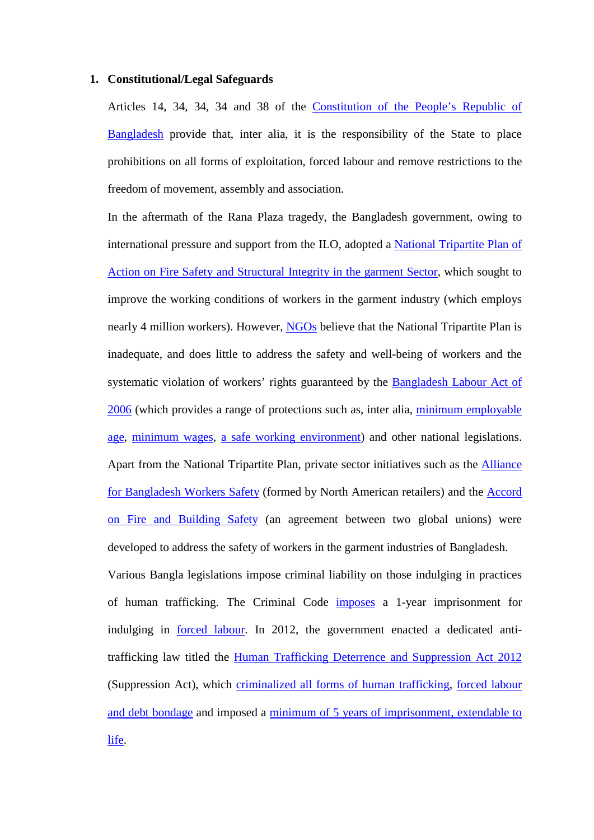### **1. Constitutional/Legal Safeguards**

Articles 14, 34, 34, 34 and 38 of the Constitution of the People's Republic of Bangladesh provide that, inter alia, it is the responsibility of the State to place prohibitions on all forms of exploitation, forced labour and remove restrictions to the freedom of movement, assembly and association.

In the aftermath of the Rana Plaza tragedy, the Bangladesh government, owing to international pressure and support from the ILO, adopted a National Tripartite Plan of Action on Fire Safety and Structural Integrity in the garment Sector, which sought to improve the working conditions of workers in the garment industry (which employs nearly 4 million workers). However, NGOs believe that the National Tripartite Plan is inadequate, and does little to address the safety and well-being of workers and the systematic violation of workers' rights guaranteed by the Bangladesh Labour Act of 2006 (which provides a range of protections such as, inter alia, minimum employable age, minimum wages, a safe working environment) and other national legislations. Apart from the National Tripartite Plan, private sector initiatives such as the Alliance for Bangladesh Workers Safety (formed by North American retailers) and the Accord on Fire and Building Safety (an agreement between two global unions) were developed to address the safety of workers in the garment industries of Bangladesh.

Various Bangla legislations impose criminal liability on those indulging in practices of human trafficking. The Criminal Code imposes a 1-year imprisonment for indulging in forced labour. In 2012, the government enacted a dedicated antitrafficking law titled the Human Trafficking Deterrence and Suppression Act 2012 (Suppression Act), which criminalized all forms of human trafficking, forced labour and debt bondage and imposed a minimum of 5 years of imprisonment, extendable to life.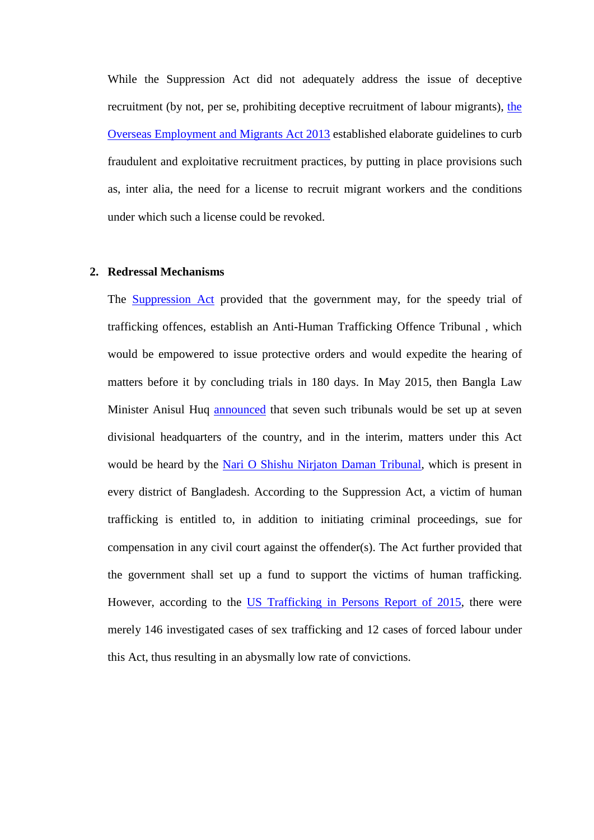While the Suppression Act did not adequately address the issue of deceptive recruitment (by not, per se, prohibiting deceptive recruitment of labour migrants), the Overseas Employment and Migrants Act 2013 established elaborate guidelines to curb fraudulent and exploitative recruitment practices, by putting in place provisions such as, inter alia, the need for a license to recruit migrant workers and the conditions under which such a license could be revoked.

#### **2. Redressal Mechanisms**

The Suppression Act provided that the government may, for the speedy trial of trafficking offences, establish an Anti-Human Trafficking Offence Tribunal , which would be empowered to issue protective orders and would expedite the hearing of matters before it by concluding trials in 180 days. In May 2015, then Bangla Law Minister Anisul Huq announced that seven such tribunals would be set up at seven divisional headquarters of the country, and in the interim, matters under this Act would be heard by the Nari O Shishu Nirjaton Daman Tribunal, which is present in every district of Bangladesh. According to the Suppression Act, a victim of human trafficking is entitled to, in addition to initiating criminal proceedings, sue for compensation in any civil court against the offender(s). The Act further provided that the government shall set up a fund to support the victims of human trafficking. However, according to the US Trafficking in Persons Report of 2015, there were merely 146 investigated cases of sex trafficking and 12 cases of forced labour under this Act, thus resulting in an abysmally low rate of convictions.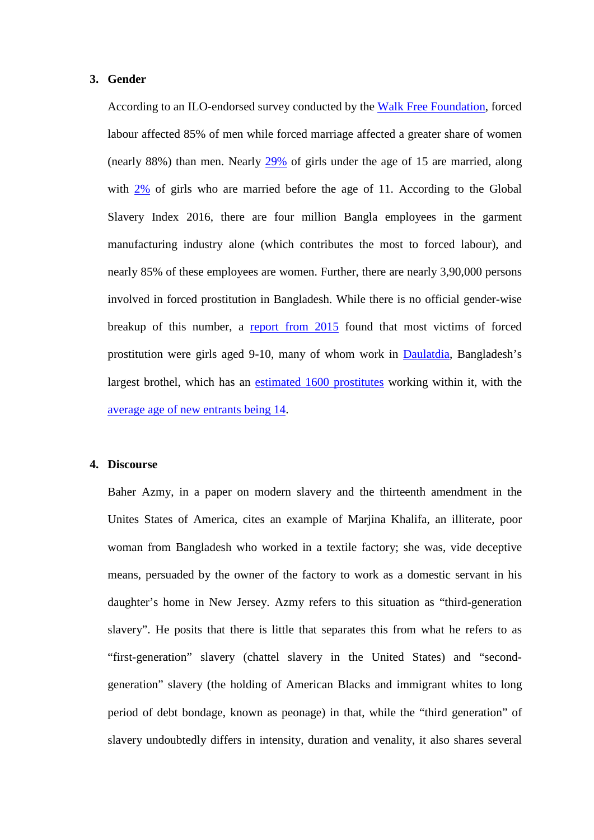### **3. Gender**

According to an ILO-endorsed survey conducted by the Walk Free Foundation, forced labour affected 85% of men while forced marriage affected a greater share of women (nearly 88%) than men. Nearly 29% of girls under the age of 15 are married, along with 2% of girls who are married before the age of 11. According to the Global Slavery Index 2016, there are four million Bangla employees in the garment manufacturing industry alone (which contributes the most to forced labour), and nearly 85% of these employees are women. Further, there are nearly 3,90,000 persons involved in forced prostitution in Bangladesh. While there is no official gender-wise breakup of this number, a report from 2015 found that most victims of forced prostitution were girls aged 9-10, many of whom work in Daulatdia, Bangladesh's largest brothel, which has an estimated 1600 prostitutes working within it, with the average age of new entrants being 14.

### **4. Discourse**

Baher Azmy, in a paper on modern slavery and the thirteenth amendment in the Unites States of America, cites an example of Marjina Khalifa, an illiterate, poor woman from Bangladesh who worked in a textile factory; she was, vide deceptive means, persuaded by the owner of the factory to work as a domestic servant in his daughter's home in New Jersey. Azmy refers to this situation as "third-generation slavery". He posits that there is little that separates this from what he refers to as "first-generation" slavery (chattel slavery in the United States) and "secondgeneration" slavery (the holding of American Blacks and immigrant whites to long period of debt bondage, known as peonage) in that, while the "third generation" of slavery undoubtedly differs in intensity, duration and venality, it also shares several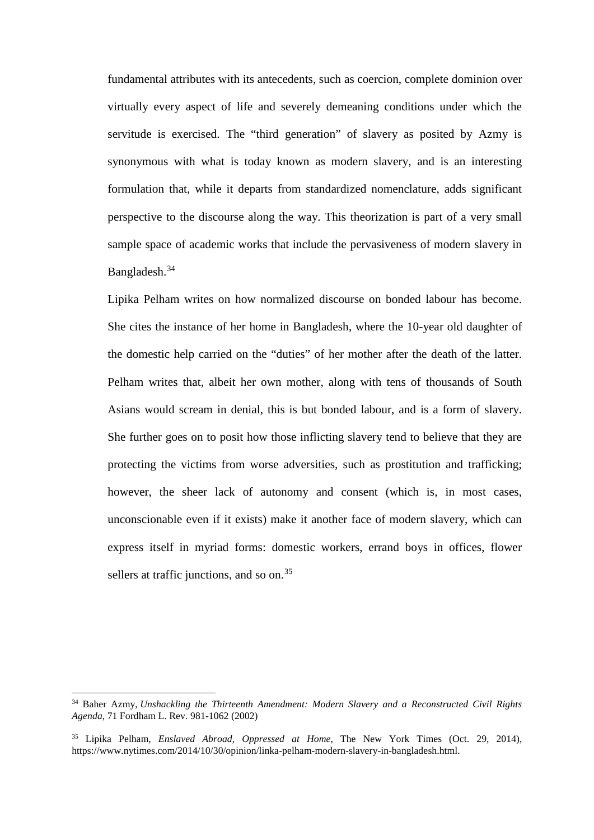fundamental attributes with its antecedents, such as coercion, complete dominion over virtually every aspect of life and severely demeaning conditions under which the servitude is exercised. The "third generation" of slavery as posited by Azmy is synonymous with what is today known as modern slavery, and is an interesting formulation that, while it departs from standardized nomenclature, adds significant perspective to the discourse along the way. This theorization is part of a very small sample space of academic works that include the pervasiveness of modern slavery in Bangladesh.<sup>34</sup>

Lipika Pelham writes on how normalized discourse on bonded labour has become. She cites the instance of her home in Bangladesh, where the 10-year old daughter of the domestic help carried on the "duties" of her mother after the death of the latter. Pelham writes that, albeit her own mother, along with tens of thousands of South Asians would scream in denial, this is but bonded labour, and is a form of slavery. She further goes on to posit how those inflicting slavery tend to believe that they are protecting the victims from worse adversities, such as prostitution and trafficking; however, the sheer lack of autonomy and consent (which is, in most cases, unconscionable even if it exists) make it another face of modern slavery, which can express itself in myriad forms: domestic workers, errand boys in offices, flower sellers at traffic junctions, and so on.<sup>35</sup>

<sup>34</sup> Baher Azmy, *Unshackling the Thirteenth Amendment: Modern Slavery and a Reconstructed Civil Rights Agenda*, 71 Fordham L. Rev. 981-1062 (2002)

<sup>35</sup> Lipika Pelham, *Enslaved Abroad, Oppressed at Home*, The New York Times (Oct. 29, 2014), https://www.nytimes.com/2014/10/30/opinion/linka-pelham-modern-slavery-in-bangladesh.html.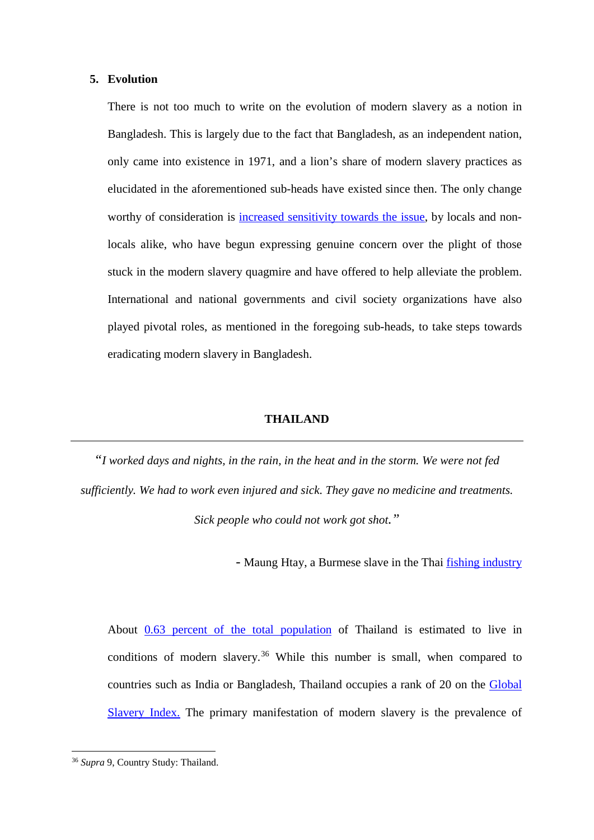#### **5. Evolution**

There is not too much to write on the evolution of modern slavery as a notion in Bangladesh. This is largely due to the fact that Bangladesh, as an independent nation, only came into existence in 1971, and a lion's share of modern slavery practices as elucidated in the aforementioned sub-heads have existed since then. The only change worthy of consideration is increased sensitivity towards the issue, by locals and nonlocals alike, who have begun expressing genuine concern over the plight of those stuck in the modern slavery quagmire and have offered to help alleviate the problem. International and national governments and civil society organizations have also played pivotal roles, as mentioned in the foregoing sub-heads, to take steps towards eradicating modern slavery in Bangladesh.

### **THAILAND**

*"I worked days and nights, in the rain, in the heat and in the storm. We were not fed sufficiently. We had to work even injured and sick. They gave no medicine and treatments. Sick people who could not work got shot."*

- Maung Htay, a Burmese slave in the Thai fishing industry

About 0.63 percent of the total population of Thailand is estimated to live in conditions of modern slavery.<sup>36</sup> While this number is small, when compared to countries such as India or Bangladesh, Thailand occupies a rank of 20 on the Global Slavery Index. The primary manifestation of modern slavery is the prevalence of

<sup>36</sup> *Supra* 9, Country Study: Thailand.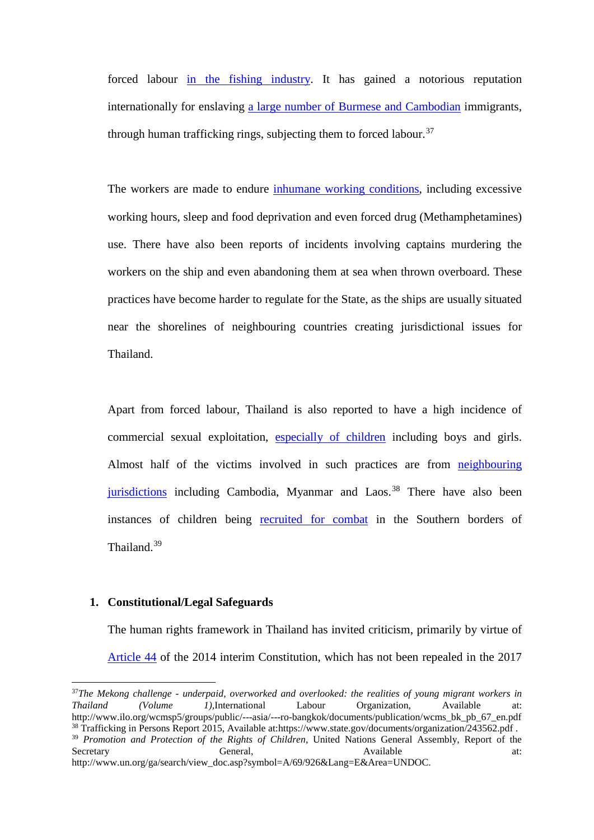forced labour in the fishing industry. It has gained a notorious reputation internationally for enslaving a large number of Burmese and Cambodian immigrants, through human trafficking rings, subjecting them to forced labour.<sup>37</sup>

The workers are made to endure inhumane working conditions, including excessive working hours, sleep and food deprivation and even forced drug (Methamphetamines) use. There have also been reports of incidents involving captains murdering the workers on the ship and even abandoning them at sea when thrown overboard. These practices have become harder to regulate for the State, as the ships are usually situated near the shorelines of neighbouring countries creating jurisdictional issues for Thailand.

Apart from forced labour, Thailand is also reported to have a high incidence of commercial sexual exploitation, especially of children including boys and girls. Almost half of the victims involved in such practices are from neighbouring jurisdictions including Cambodia, Myanmar and Laos.<sup>38</sup> There have also been instances of children being recruited for combat in the Southern borders of Thailand.<sup>39</sup>

### **1. Constitutional/Legal Safeguards**

 $\overline{a}$ 

The human rights framework in Thailand has invited criticism, primarily by virtue of Article 44 of the 2014 interim Constitution, which has not been repealed in the 2017

<sup>&</sup>lt;sup>37</sup>*The Mekong challenge - underpaid, overworked and overlooked: the realities of young migrant workers in Thailand (Volume 1). International Labour Organization. Available at: Thailand (Volume 1),International Labour Organization, Available at:*<br>http://www.ilo.org/wcmsp5/groups/public/---asia/---ro-bangkok/documents/publication/wcms bk pb 67 en.pdf <sup>38</sup> Trafficking in Persons Report 2015, Available at:https://www.state.gov/documents/organization/243562.pdf .

<sup>&</sup>lt;sup>39</sup> *Promotion and Protection of the Rights of Children*, United Nations General Assembly, Report of the Secretary **6** General, Available at: Secretary General, General, Available at: http://www.un.org/ga/search/view\_doc.asp?symbol=A/69/926&Lang=E&Area=UNDOC.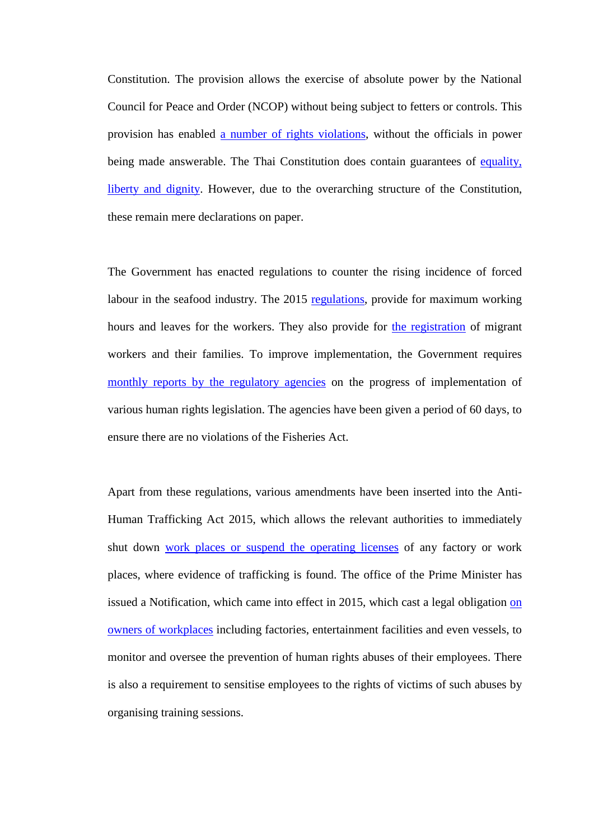Constitution. The provision allows the exercise of absolute power by the National Council for Peace and Order (NCOP) without being subject to fetters or controls. This provision has enabled a number of rights violations, without the officials in power being made answerable. The Thai Constitution does contain guarantees of equality, liberty and dignity. However, due to the overarching structure of the Constitution, these remain mere declarations on paper.

The Government has enacted regulations to counter the rising incidence of forced labour in the seafood industry. The 2015 regulations, provide for maximum working hours and leaves for the workers. They also provide for the registration of migrant workers and their families. To improve implementation, the Government requires monthly reports by the regulatory agencies on the progress of implementation of various human rights legislation. The agencies have been given a period of 60 days, to ensure there are no violations of the Fisheries Act.

Apart from these regulations, various amendments have been inserted into the Anti-Human Trafficking Act 2015, which allows the relevant authorities to immediately shut down work places or suspend the operating licenses of any factory or work places, where evidence of trafficking is found. The office of the Prime Minister has issued a Notification, which came into effect in 2015, which cast a legal obligation on owners of workplaces including factories, entertainment facilities and even vessels, to monitor and oversee the prevention of human rights abuses of their employees. There is also a requirement to sensitise employees to the rights of victims of such abuses by organising training sessions.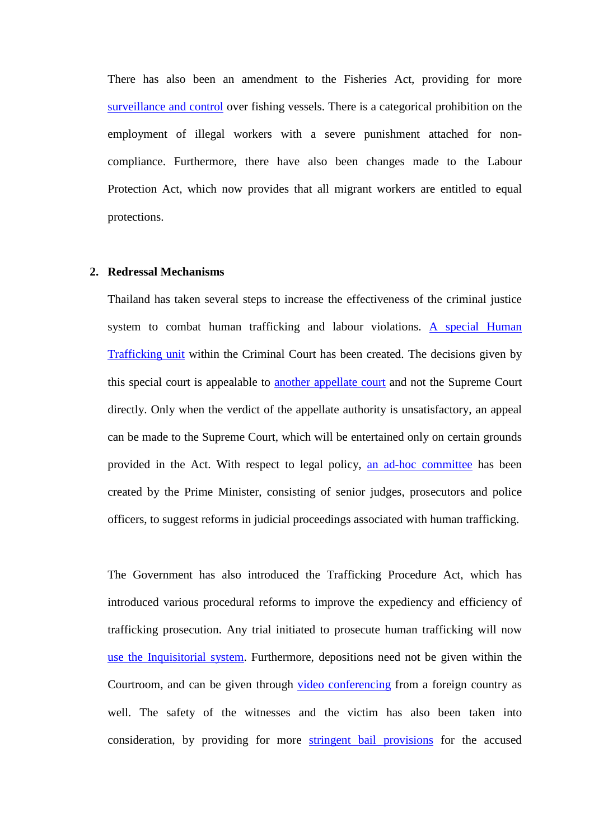There has also been an amendment to the Fisheries Act, providing for more surveillance and control over fishing vessels. There is a categorical prohibition on the employment of illegal workers with a severe punishment attached for noncompliance. Furthermore, there have also been changes made to the Labour Protection Act, which now provides that all migrant workers are entitled to equal protections.

#### **2. Redressal Mechanisms**

Thailand has taken several steps to increase the effectiveness of the criminal justice system to combat human trafficking and labour violations. A special Human Trafficking unit within the Criminal Court has been created. The decisions given by this special court is appealable to another appellate court and not the Supreme Court directly. Only when the verdict of the appellate authority is unsatisfactory, an appeal can be made to the Supreme Court, which will be entertained only on certain grounds provided in the Act. With respect to legal policy, an ad-hoc committee has been created by the Prime Minister, consisting of senior judges, prosecutors and police officers, to suggest reforms in judicial proceedings associated with human trafficking.

The Government has also introduced the Trafficking Procedure Act, which has introduced various procedural reforms to improve the expediency and efficiency of trafficking prosecution. Any trial initiated to prosecute human trafficking will now use the Inquisitorial system. Furthermore, depositions need not be given within the Courtroom, and can be given through video conferencing from a foreign country as well. The safety of the witnesses and the victim has also been taken into consideration, by providing for more stringent bail provisions for the accused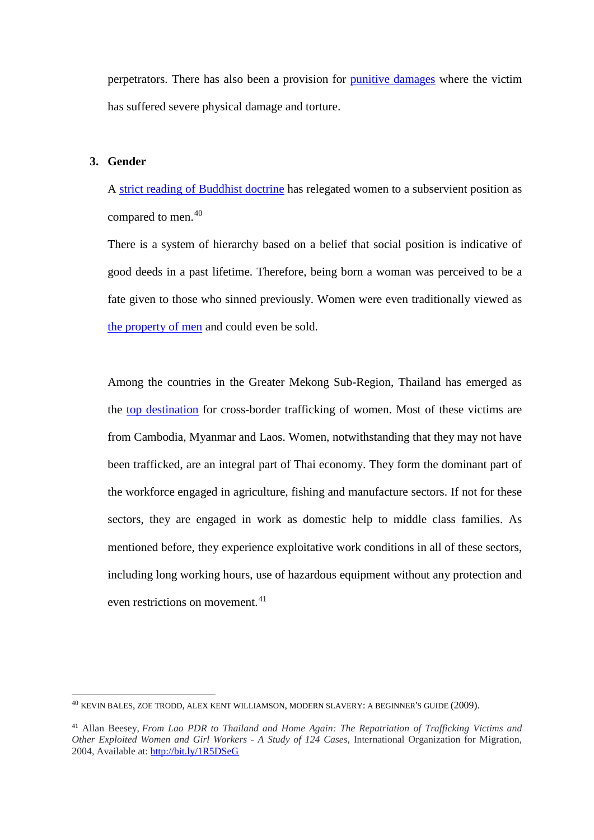perpetrators. There has also been a provision for punitive damages where the victim has suffered severe physical damage and torture.

## **3. Gender**

**.** 

A strict reading of Buddhist doctrine has relegated women to a subservient position as compared to men.<sup>40</sup>

There is a system of hierarchy based on a belief that social position is indicative of good deeds in a past lifetime. Therefore, being born a woman was perceived to be a fate given to those who sinned previously. Women were even traditionally viewed as the property of men and could even be sold.

Among the countries in the Greater Mekong Sub-Region, Thailand has emerged as the top destination for cross-border trafficking of women. Most of these victims are from Cambodia, Myanmar and Laos. Women, notwithstanding that they may not have been trafficked, are an integral part of Thai economy. They form the dominant part of the workforce engaged in agriculture, fishing and manufacture sectors. If not for these sectors, they are engaged in work as domestic help to middle class families. As mentioned before, they experience exploitative work conditions in all of these sectors, including long working hours, use of hazardous equipment without any protection and even restrictions on movement.<sup>41</sup>

<sup>40</sup> KEVIN BALES, ZOE TRODD, ALEX KENT WILLIAMSON, MODERN SLAVERY: A BEGINNER'S GUIDE (2009).

<sup>41</sup> Allan Beesey, *From Lao PDR to Thailand and Home Again: The Repatriation of Trafficking Victims and Other Exploited Women and Girl Workers - A Study of 124 Cases*, International Organization for Migration, 2004, Available at: http://bit.ly/1R5DSeG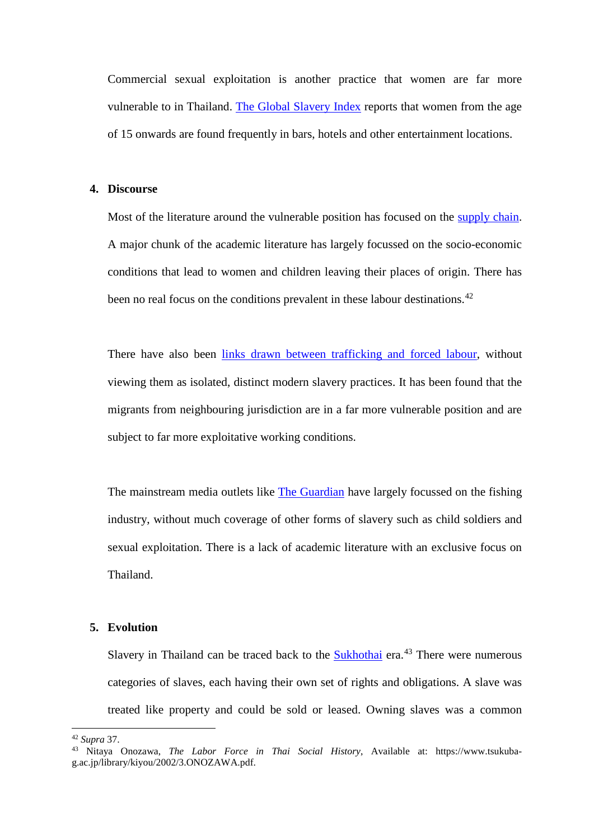Commercial sexual exploitation is another practice that women are far more vulnerable to in Thailand. The Global Slavery Index reports that women from the age of 15 onwards are found frequently in bars, hotels and other entertainment locations.

#### **4. Discourse**

Most of the literature around the vulnerable position has focused on the supply chain. A major chunk of the academic literature has largely focussed on the socio-economic conditions that lead to women and children leaving their places of origin. There has been no real focus on the conditions prevalent in these labour destinations.<sup>42</sup>

There have also been links drawn between trafficking and forced labour, without viewing them as isolated, distinct modern slavery practices. It has been found that the migrants from neighbouring jurisdiction are in a far more vulnerable position and are subject to far more exploitative working conditions.

The mainstream media outlets like The Guardian have largely focussed on the fishing industry, without much coverage of other forms of slavery such as child soldiers and sexual exploitation. There is a lack of academic literature with an exclusive focus on Thailand.

### **5. Evolution**

Slavery in Thailand can be traced back to the Sukhothai era.<sup>43</sup> There were numerous categories of slaves, each having their own set of rights and obligations. A slave was treated like property and could be sold or leased. Owning slaves was a common

**.** 

<sup>42</sup> *Supra* 37. 43 Nitaya Onozawa, *The Labor Force in Thai Social History*, Available at: https://www.tsukubag.ac.jp/library/kiyou/2002/3.ONOZAWA.pdf.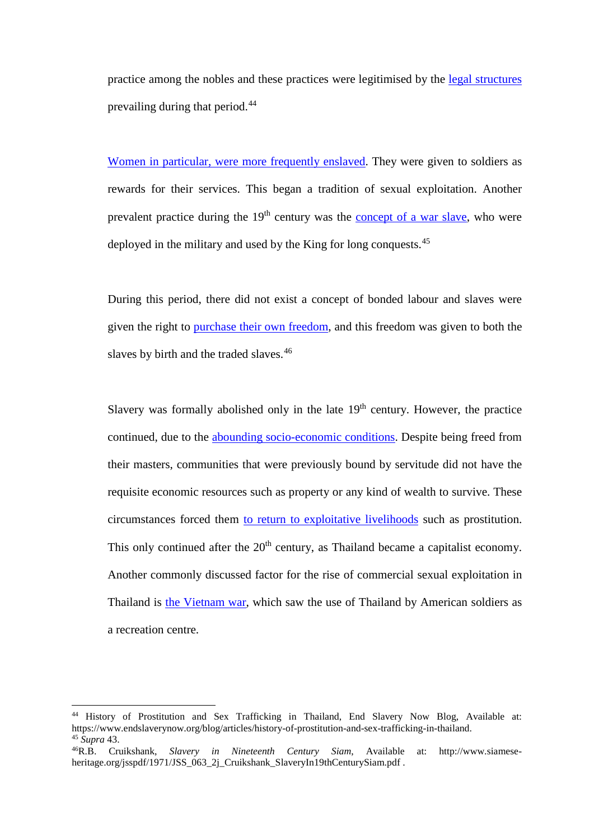practice among the nobles and these practices were legitimised by the legal structures prevailing during that period.<sup>44</sup>

Women in particular, were more frequently enslaved. They were given to soldiers as rewards for their services. This began a tradition of sexual exploitation. Another prevalent practice during the  $19<sup>th</sup>$  century was the concept of a war slave, who were deployed in the military and used by the King for long conquests.<sup>45</sup>

During this period, there did not exist a concept of bonded labour and slaves were given the right to purchase their own freedom, and this freedom was given to both the slaves by birth and the traded slaves.<sup>46</sup>

Slavery was formally abolished only in the late  $19<sup>th</sup>$  century. However, the practice continued, due to the abounding socio-economic conditions. Despite being freed from their masters, communities that were previously bound by servitude did not have the requisite economic resources such as property or any kind of wealth to survive. These circumstances forced them to return to exploitative livelihoods such as prostitution. This only continued after the  $20<sup>th</sup>$  century, as Thailand became a capitalist economy. Another commonly discussed factor for the rise of commercial sexual exploitation in Thailand is the Vietnam war, which saw the use of Thailand by American soldiers as a recreation centre.

**.** 

<sup>&</sup>lt;sup>44</sup> History of Prostitution and Sex Trafficking in Thailand, End Slavery Now Blog, Available at: https://www.endslaverynow.org/blog/articles/history-of-prostitution-and-sex-trafficking-in-thailand. 45 *Supra* 43.

<sup>46</sup>R.B. Cruikshank, *Slavery in Nineteenth Century Siam*, Available at: http://www.siameseheritage.org/jsspdf/1971/JSS\_063\_2j\_Cruikshank\_SlaveryIn19thCenturySiam.pdf .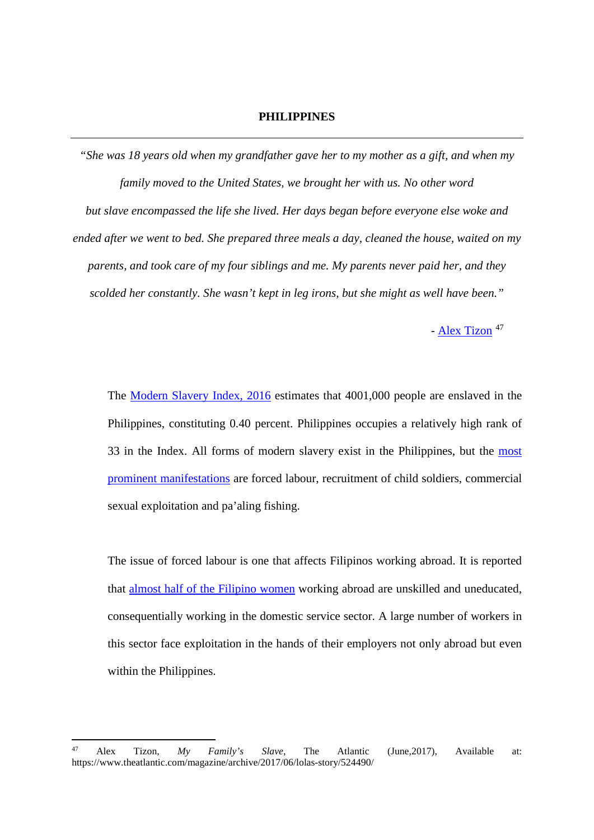### **PHILIPPINES**

*"She was 18 years old when my grandfather gave her to my mother as a gift, and when my family moved to the United States, we brought her with us. No other word but slave encompassed the life she lived. Her days began before everyone else woke and ended after we went to bed. She prepared three meals a day, cleaned the house, waited on my parents, and took care of my four siblings and me. My parents never paid her, and they scolded her constantly. She wasn't kept in leg irons, but she might as well have been."*

- Alex Tizon<sup>47</sup>

The Modern Slavery Index, 2016 estimates that 4001,000 people are enslaved in the Philippines, constituting 0.40 percent. Philippines occupies a relatively high rank of 33 in the Index. All forms of modern slavery exist in the Philippines, but the most prominent manifestations are forced labour, recruitment of child soldiers, commercial sexual exploitation and pa'aling fishing.

The issue of forced labour is one that affects Filipinos working abroad. It is reported that almost half of the Filipino women working abroad are unskilled and uneducated, consequentially working in the domestic service sector. A large number of workers in this sector face exploitation in the hands of their employers not only abroad but even within the Philippines.

<sup>47</sup> <sup>47</sup> Alex Tizon*, My Family's Slave*, The Atlantic (June,2017), Available at: https://www.theatlantic.com/magazine/archive/2017/06/lolas-story/524490/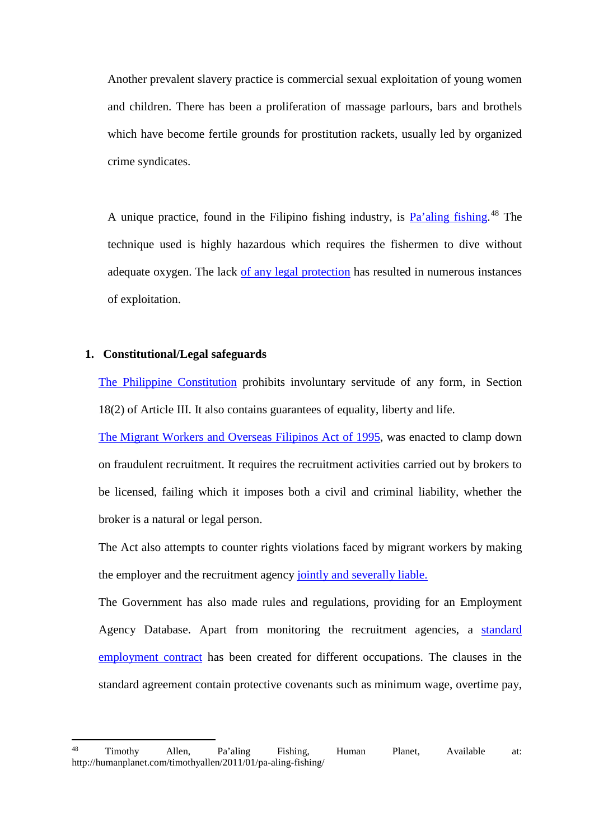Another prevalent slavery practice is commercial sexual exploitation of young women and children. There has been a proliferation of massage parlours, bars and brothels which have become fertile grounds for prostitution rackets, usually led by organized crime syndicates.

A unique practice, found in the Filipino fishing industry, is **Pa'aling fishing**.<sup>48</sup> The technique used is highly hazardous which requires the fishermen to dive without adequate oxygen. The lack of any legal protection has resulted in numerous instances of exploitation.

# **1. Constitutional/Legal safeguards**

The Philippine Constitution prohibits involuntary servitude of any form, in Section 18(2) of Article III. It also contains guarantees of equality, liberty and life.

The Migrant Workers and Overseas Filipinos Act of 1995, was enacted to clamp down on fraudulent recruitment. It requires the recruitment activities carried out by brokers to be licensed, failing which it imposes both a civil and criminal liability, whether the broker is a natural or legal person.

The Act also attempts to counter rights violations faced by migrant workers by making the employer and the recruitment agency jointly and severally liable.

The Government has also made rules and regulations, providing for an Employment Agency Database. Apart from monitoring the recruitment agencies, a standard employment contract has been created for different occupations. The clauses in the standard agreement contain protective covenants such as minimum wage, overtime pay,

<sup>48</sup> <sup>48</sup> Timothy Allen, Pa'aling Fishing, Human Planet, Available at: http://humanplanet.com/timothyallen/2011/01/pa-aling-fishing/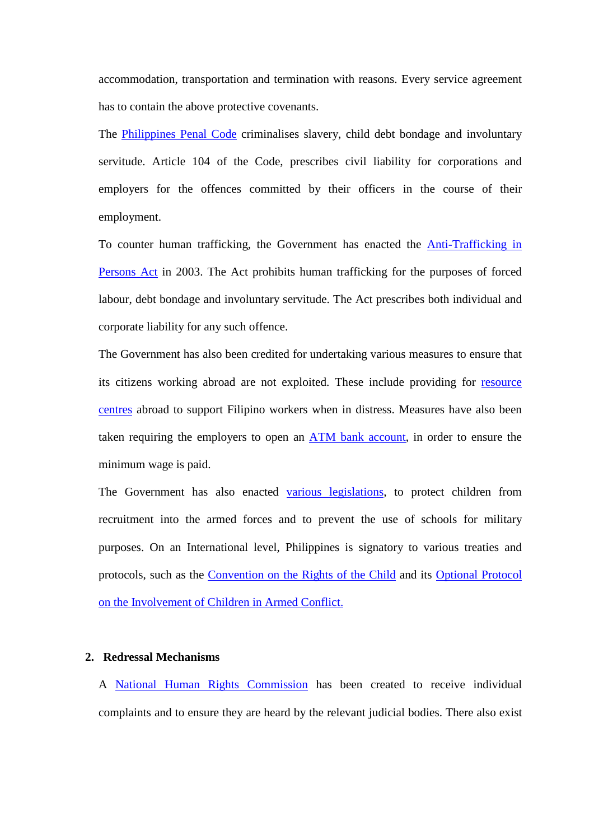accommodation, transportation and termination with reasons. Every service agreement has to contain the above protective covenants.

The **Philippines Penal Code** criminalises slavery, child debt bondage and involuntary servitude. Article 104 of the Code, prescribes civil liability for corporations and employers for the offences committed by their officers in the course of their employment.

To counter human trafficking, the Government has enacted the Anti-Trafficking in Persons Act in 2003. The Act prohibits human trafficking for the purposes of forced labour, debt bondage and involuntary servitude. The Act prescribes both individual and corporate liability for any such offence.

The Government has also been credited for undertaking various measures to ensure that its citizens working abroad are not exploited. These include providing for resource centres abroad to support Filipino workers when in distress. Measures have also been taken requiring the employers to open an ATM bank account, in order to ensure the minimum wage is paid.

The Government has also enacted various legislations, to protect children from recruitment into the armed forces and to prevent the use of schools for military purposes. On an International level, Philippines is signatory to various treaties and protocols, such as the Convention on the Rights of the Child and its Optional Protocol on the Involvement of Children in Armed Conflict.

### **2. Redressal Mechanisms**

A National Human Rights Commission has been created to receive individual complaints and to ensure they are heard by the relevant judicial bodies. There also exist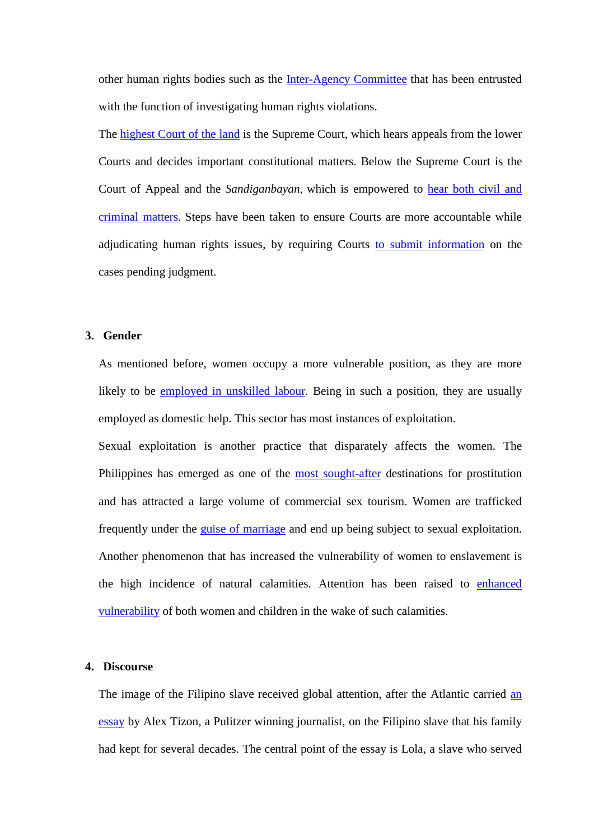other human rights bodies such as the **Inter-Agency Committee** that has been entrusted with the function of investigating human rights violations.

The highest Court of the land is the Supreme Court, which hears appeals from the lower Courts and decides important constitutional matters. Below the Supreme Court is the Court of Appeal and the *Sandiganbayan*, which is empowered to hear both civil and criminal matters. Steps have been taken to ensure Courts are more accountable while adjudicating human rights issues, by requiring Courts to submit information on the cases pending judgment.

# **3. Gender**

As mentioned before, women occupy a more vulnerable position, as they are more likely to be employed in unskilled labour. Being in such a position, they are usually employed as domestic help. This sector has most instances of exploitation.

Sexual exploitation is another practice that disparately affects the women. The Philippines has emerged as one of the most sought-after destinations for prostitution and has attracted a large volume of commercial sex tourism. Women are trafficked frequently under the guise of marriage and end up being subject to sexual exploitation. Another phenomenon that has increased the vulnerability of women to enslavement is the high incidence of natural calamities. Attention has been raised to enhanced vulnerability of both women and children in the wake of such calamities.

### **4. Discourse**

The image of the Filipino slave received global attention, after the Atlantic carried an essay by Alex Tizon, a Pulitzer winning journalist, on the Filipino slave that his family had kept for several decades. The central point of the essay is Lola, a slave who served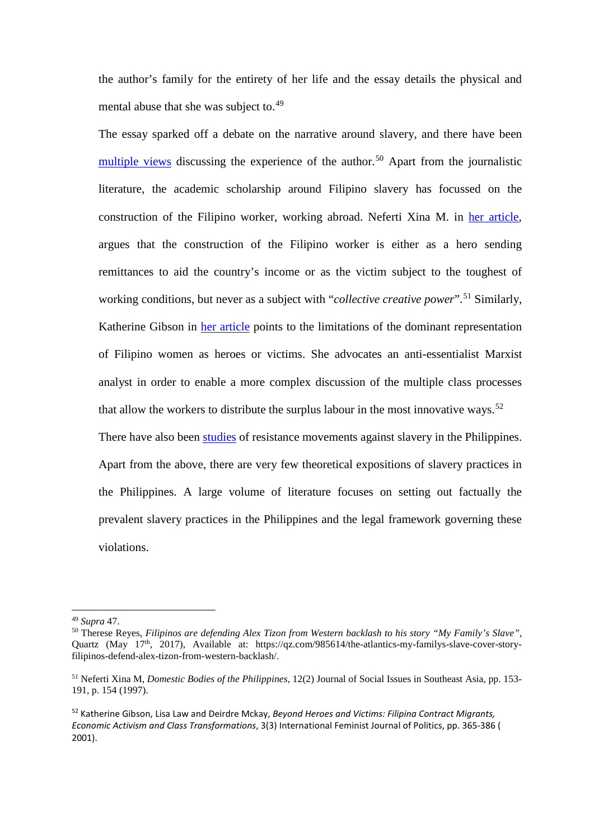the author's family for the entirety of her life and the essay details the physical and mental abuse that she was subject to.<sup>49</sup>

The essay sparked off a debate on the narrative around slavery, and there have been multiple views discussing the experience of the author.<sup>50</sup> Apart from the journalistic literature, the academic scholarship around Filipino slavery has focussed on the construction of the Filipino worker, working abroad. Neferti Xina M. in her article, argues that the construction of the Filipino worker is either as a hero sending remittances to aid the country's income or as the victim subject to the toughest of working conditions, but never as a subject with "*collective creative power*".<sup>51</sup> Similarly, Katherine Gibson in her article points to the limitations of the dominant representation of Filipino women as heroes or victims. She advocates an anti-essentialist Marxist analyst in order to enable a more complex discussion of the multiple class processes that allow the workers to distribute the surplus labour in the most innovative ways.<sup>52</sup> There have also been studies of resistance movements against slavery in the Philippines. Apart from the above, there are very few theoretical expositions of slavery practices in

the Philippines. A large volume of literature focuses on setting out factually the prevalent slavery practices in the Philippines and the legal framework governing these violations.

**.** 

<sup>&</sup>lt;sup>49</sup> *Supra* 47.<br><sup>50</sup> Therese Reyes, *Filipinos are defending Alex Tizon from Western backlash to his story "My Family's Slave",* Quartz (May 17<sup>th</sup>, 2017), Available at: https://qz.com/985614/the-atlantics-my-familys-slave-cover-storyfilipinos-defend-alex-tizon-from-western-backlash/.

<sup>51</sup> Neferti Xina M, *Domestic Bodies of the Philippines*, 12(2) Journal of Social Issues in Southeast Asia, pp. 153- 191, p. 154 (1997).

<sup>52</sup> Katherine Gibson, Lisa Law and Deirdre Mckay, *Beyond Heroes and Victims: Filipina Contract Migrants, Economic Activism and Class Transformations*, 3(3) International Feminist Journal of Politics, pp. 365-386 ( 2001).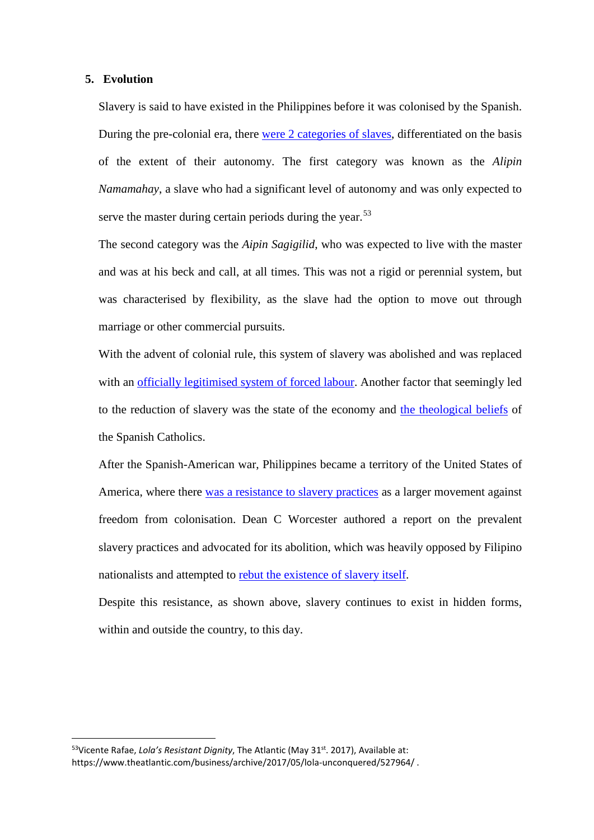### **5. Evolution**

Slavery is said to have existed in the Philippines before it was colonised by the Spanish. During the pre-colonial era, there were 2 categories of slaves, differentiated on the basis of the extent of their autonomy. The first category was known as the *Alipin Namamahay*, a slave who had a significant level of autonomy and was only expected to serve the master during certain periods during the year.<sup>53</sup>

The second category was the *Aipin Sagigilid*, who was expected to live with the master and was at his beck and call, at all times. This was not a rigid or perennial system, but was characterised by flexibility, as the slave had the option to move out through marriage or other commercial pursuits.

With the advent of colonial rule, this system of slavery was abolished and was replaced with an officially legitimised system of forced labour. Another factor that seemingly led to the reduction of slavery was the state of the economy and the theological beliefs of the Spanish Catholics.

After the Spanish-American war, Philippines became a territory of the United States of America, where there was a resistance to slavery practices as a larger movement against freedom from colonisation. Dean C Worcester authored a report on the prevalent slavery practices and advocated for its abolition, which was heavily opposed by Filipino nationalists and attempted to rebut the existence of slavery itself.

Despite this resistance, as shown above, slavery continues to exist in hidden forms, within and outside the country, to this day.

<sup>&</sup>lt;sup>53</sup>Vicente Rafae, *Lolg's Resistant Dignity*, The Atlantic (May 31<sup>st</sup>. 2017), Available at: https://www.theatlantic.com/business/archive/2017/05/lola-unconquered/527964/ .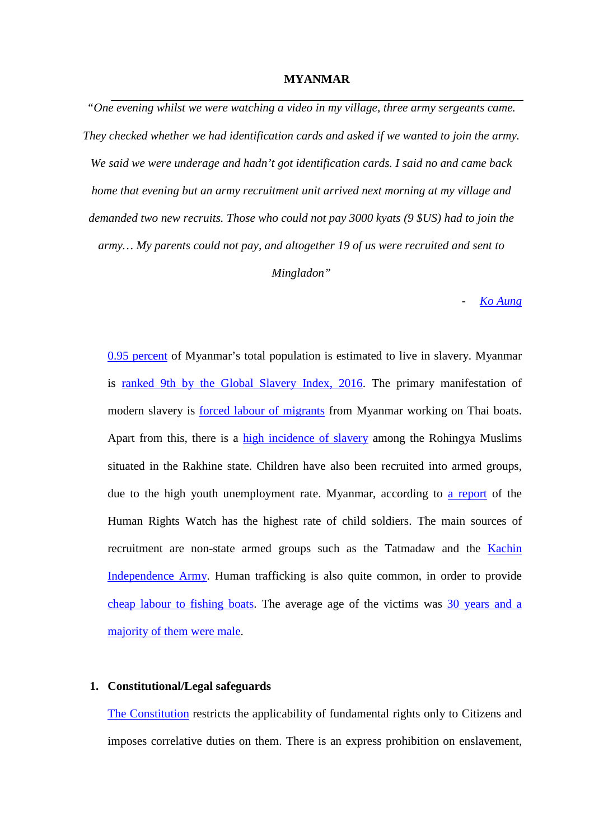#### **MYANMAR**

*"One evening whilst we were watching a video in my village, three army sergeants came. They checked whether we had identification cards and asked if we wanted to join the army. We said we were underage and hadn't got identification cards. I said no and came back home that evening but an army recruitment unit arrived next morning at my village and demanded two new recruits. Those who could not pay 3000 kyats (9 \$US) had to join the army… My parents could not pay, and altogether 19 of us were recruited and sent to Mingladon"*

- *Ko Aung*

0.95 percent of Myanmar's total population is estimated to live in slavery. Myanmar is ranked 9th by the Global Slavery Index, 2016. The primary manifestation of modern slavery is forced labour of migrants from Myanmar working on Thai boats. Apart from this, there is a high incidence of slavery among the Rohingya Muslims situated in the Rakhine state. Children have also been recruited into armed groups, due to the high youth unemployment rate. Myanmar, according to a report of the Human Rights Watch has the highest rate of child soldiers. The main sources of recruitment are non-state armed groups such as the Tatmadaw and the Kachin Independence Army. Human trafficking is also quite common, in order to provide cheap labour to fishing boats. The average age of the victims was 30 years and a majority of them were male.

### **1. Constitutional/Legal safeguards**

The Constitution restricts the applicability of fundamental rights only to Citizens and imposes correlative duties on them. There is an express prohibition on enslavement,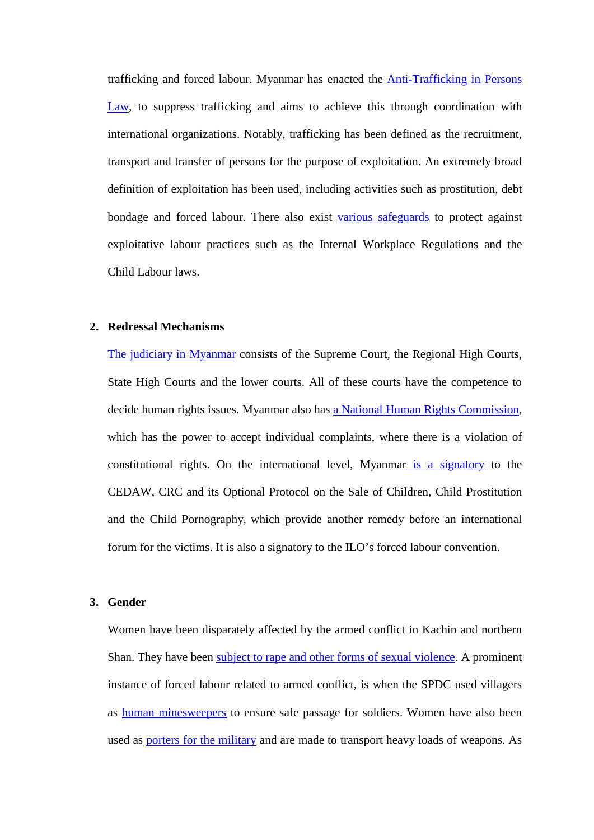trafficking and forced labour. Myanmar has enacted the Anti-Trafficking in Persons Law, to suppress trafficking and aims to achieve this through coordination with international organizations. Notably, trafficking has been defined as the recruitment, transport and transfer of persons for the purpose of exploitation. An extremely broad definition of exploitation has been used, including activities such as prostitution, debt bondage and forced labour. There also exist various safeguards to protect against exploitative labour practices such as the Internal Workplace Regulations and the Child Labour laws.

### **2. Redressal Mechanisms**

The judiciary in Myanmar consists of the Supreme Court, the Regional High Courts, State High Courts and the lower courts. All of these courts have the competence to decide human rights issues. Myanmar also has a National Human Rights Commission, which has the power to accept individual complaints, where there is a violation of constitutional rights. On the international level, Myanmar is a signatory to the CEDAW, CRC and its Optional Protocol on the Sale of Children, Child Prostitution and the Child Pornography, which provide another remedy before an international forum for the victims. It is also a signatory to the ILO's forced labour convention.

### **3. Gender**

Women have been disparately affected by the armed conflict in Kachin and northern Shan. They have been subject to rape and other forms of sexual violence. A prominent instance of forced labour related to armed conflict, is when the SPDC used villagers as human minesweepers to ensure safe passage for soldiers. Women have also been used as porters for the military and are made to transport heavy loads of weapons. As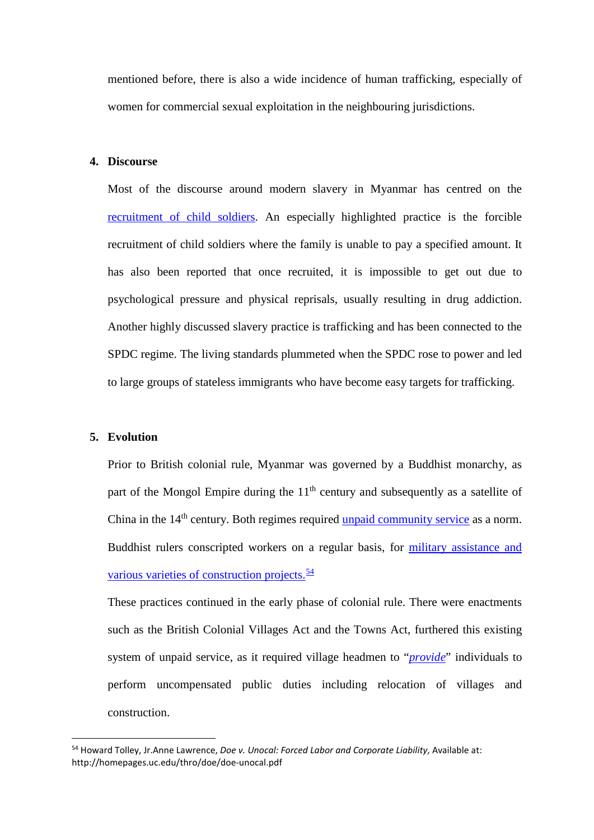mentioned before, there is also a wide incidence of human trafficking, especially of women for commercial sexual exploitation in the neighbouring jurisdictions.

## **4. Discourse**

Most of the discourse around modern slavery in Myanmar has centred on the recruitment of child soldiers. An especially highlighted practice is the forcible recruitment of child soldiers where the family is unable to pay a specified amount. It has also been reported that once recruited, it is impossible to get out due to psychological pressure and physical reprisals, usually resulting in drug addiction. Another highly discussed slavery practice is trafficking and has been connected to the SPDC regime. The living standards plummeted when the SPDC rose to power and led to large groups of stateless immigrants who have become easy targets for trafficking.

#### **5. Evolution**

Prior to British colonial rule, Myanmar was governed by a Buddhist monarchy, as part of the Mongol Empire during the 11<sup>th</sup> century and subsequently as a satellite of China in the 14<sup>th</sup> century. Both regimes required unpaid community service as a norm. Buddhist rulers conscripted workers on a regular basis, for military assistance and various varieties of construction projects. $\frac{54}{5}$ 

These practices continued in the early phase of colonial rule. There were enactments such as the British Colonial Villages Act and the Towns Act, furthered this existing system of unpaid service, as it required village headmen to "*provide*" individuals to perform uncompensated public duties including relocation of villages and construction.

 <sup>54</sup> Howard Tolley, Jr.Anne Lawrence, *Doe v. Unocal: Forced Labor and Corporate Liability*, Available at: http://homepages.uc.edu/thro/doe/doe-unocal.pdf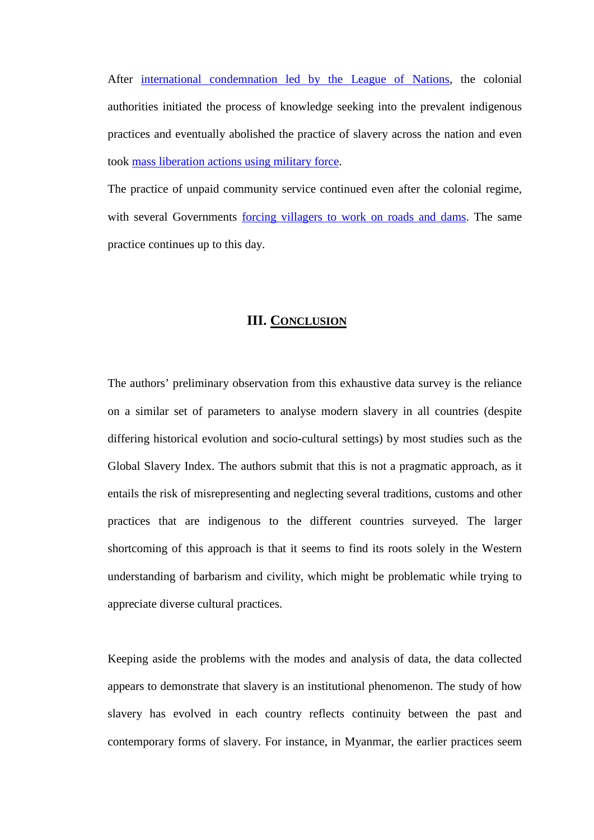After international condemnation led by the League of Nations, the colonial authorities initiated the process of knowledge seeking into the prevalent indigenous practices and eventually abolished the practice of slavery across the nation and even took mass liberation actions using military force.

The practice of unpaid community service continued even after the colonial regime, with several Governments forcing villagers to work on roads and dams. The same practice continues up to this day.

# **III. CONCLUSION**

The authors' preliminary observation from this exhaustive data survey is the reliance on a similar set of parameters to analyse modern slavery in all countries (despite differing historical evolution and socio-cultural settings) by most studies such as the Global Slavery Index. The authors submit that this is not a pragmatic approach, as it entails the risk of misrepresenting and neglecting several traditions, customs and other practices that are indigenous to the different countries surveyed. The larger shortcoming of this approach is that it seems to find its roots solely in the Western understanding of barbarism and civility, which might be problematic while trying to appreciate diverse cultural practices.

Keeping aside the problems with the modes and analysis of data, the data collected appears to demonstrate that slavery is an institutional phenomenon. The study of how slavery has evolved in each country reflects continuity between the past and contemporary forms of slavery. For instance, in Myanmar, the earlier practices seem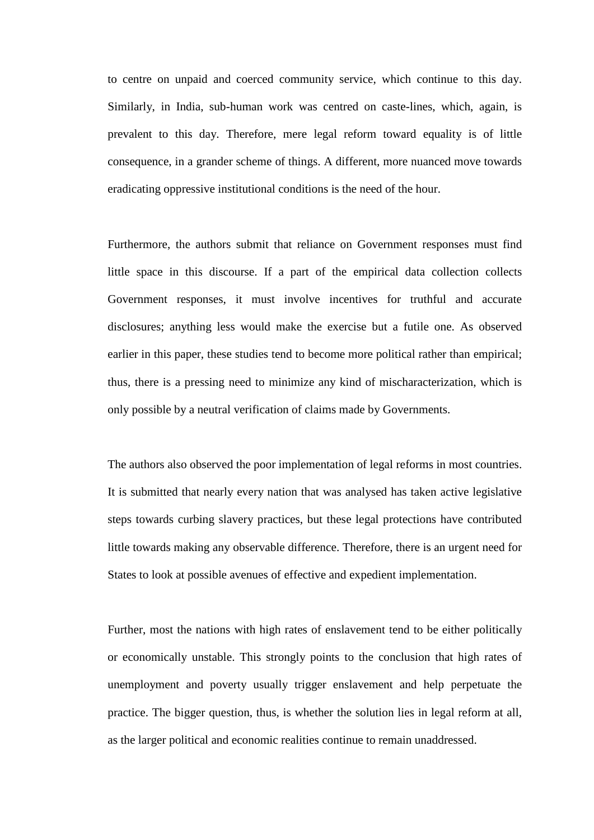to centre on unpaid and coerced community service, which continue to this day. Similarly, in India, sub-human work was centred on caste-lines, which, again, is prevalent to this day. Therefore, mere legal reform toward equality is of little consequence, in a grander scheme of things. A different, more nuanced move towards eradicating oppressive institutional conditions is the need of the hour.

Furthermore, the authors submit that reliance on Government responses must find little space in this discourse. If a part of the empirical data collection collects Government responses, it must involve incentives for truthful and accurate disclosures; anything less would make the exercise but a futile one. As observed earlier in this paper, these studies tend to become more political rather than empirical; thus, there is a pressing need to minimize any kind of mischaracterization, which is only possible by a neutral verification of claims made by Governments.

The authors also observed the poor implementation of legal reforms in most countries. It is submitted that nearly every nation that was analysed has taken active legislative steps towards curbing slavery practices, but these legal protections have contributed little towards making any observable difference. Therefore, there is an urgent need for States to look at possible avenues of effective and expedient implementation.

Further, most the nations with high rates of enslavement tend to be either politically or economically unstable. This strongly points to the conclusion that high rates of unemployment and poverty usually trigger enslavement and help perpetuate the practice. The bigger question, thus, is whether the solution lies in legal reform at all, as the larger political and economic realities continue to remain unaddressed.